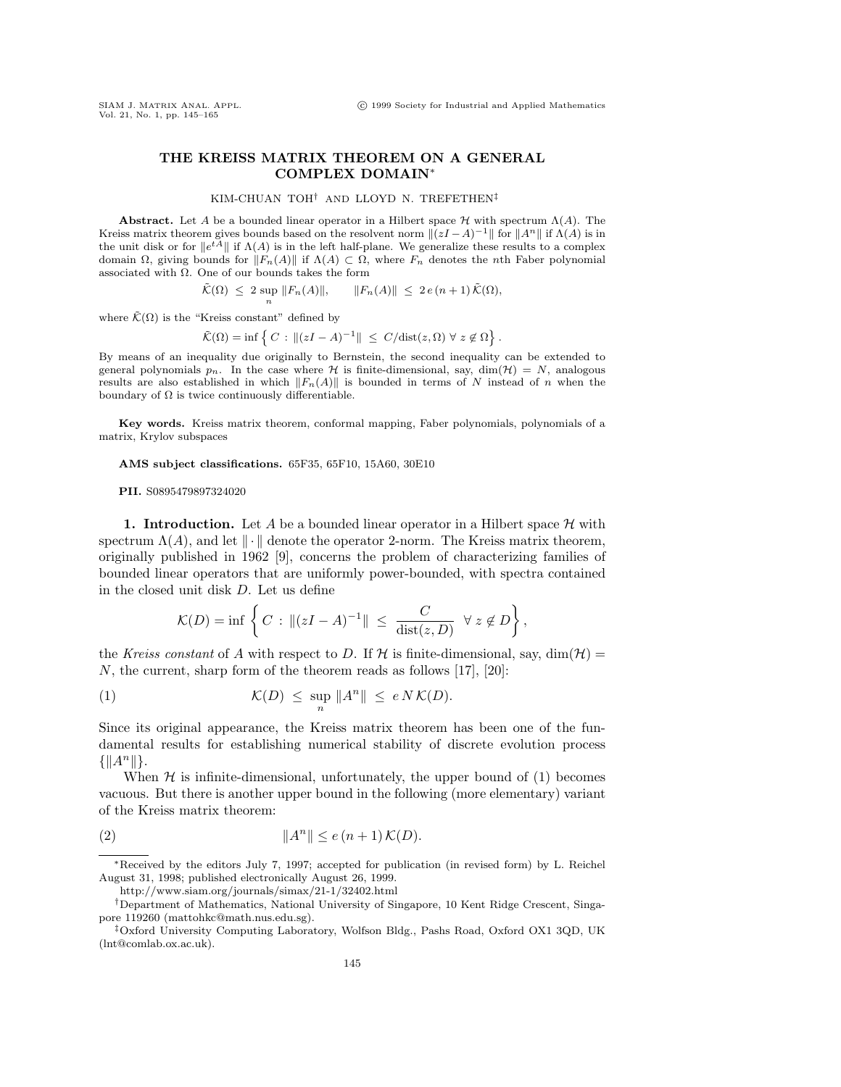.

## **THE KREISS MATRIX THEOREM ON A GENERAL COMPLEX DOMAIN**<sup>∗</sup>

## KIM-CHUAN TOH† AND LLOYD N. TREFETHEN‡

**Abstract.** Let A be a bounded linear operator in a Hilbert space  $H$  with spectrum  $\Lambda(A)$ . The Kreiss matrix theorem gives bounds based on the resolvent norm  $\|(zI - A)^{-1}\|$  for  $\|A^n\|$  if  $\Lambda(A)$  is in the unit disk or for  $||e^{t\widetilde{A}}||$  if  $\Lambda(A)$  is in the left half-plane. We generalize these results to a complex domain  $\Omega$ , giving bounds for  $||F_n(A)||$  if  $\Lambda(A) \subset \Omega$ , where  $F_n$  denotes the nth Faber polynomial associated with  $\Omega$ . One of our bounds takes the form

$$
\tilde{\mathcal{K}}(\Omega) \leq 2 \sup_{n} ||F_n(A)||, \qquad ||F_n(A)|| \leq 2 e (n+1) \tilde{\mathcal{K}}(\Omega),
$$

where  $\tilde{\mathcal{K}}(\Omega)$  is the "Kreiss constant" defined by

$$
\tilde{\mathcal{K}}(\Omega) = \inf \left\{ C : \|(zI - A)^{-1}\| \le C/\text{dist}(z, \Omega) \ \forall \ z \notin \Omega \right\}
$$

By means of an inequality due originally to Bernstein, the second inequality can be extended to general polynomials  $p_n$ . In the case where H is finite-dimensional, say, dim( $H$ ) = N, analogous results are also established in which  $||F_n(A)||$  is bounded in terms of N instead of n when the boundary of  $\Omega$  is twice continuously differentiable.

**Key words.** Kreiss matrix theorem, conformal mapping, Faber polynomials, polynomials of a matrix, Krylov subspaces

**AMS subject classifications.** 65F35, 65F10, 15A60, 30E10

**PII.** S0895479897324020

**1. Introduction.** Let A be a bounded linear operator in a Hilbert space  $\mathcal{H}$  with spectrum  $\Lambda(A)$ , and let  $\|\cdot\|$  denote the operator 2-norm. The Kreiss matrix theorem, originally published in 1962 [9], concerns the problem of characterizing families of bounded linear operators that are uniformly power-bounded, with spectra contained in the closed unit disk D. Let us define

$$
\mathcal{K}(D) = \inf \left\{ C : \|(zI - A)^{-1}\| \leq \frac{C}{\text{dist}(z, D)} \ \forall \ z \notin D \right\},
$$

the Kreiss constant of A with respect to D. If H is finite-dimensional, say,  $\dim(\mathcal{H}) =$ N, the current, sharp form of the theorem reads as follows  $[17]$ ,  $[20]$ :

(1) 
$$
\mathcal{K}(D) \leq \sup_n \|A^n\| \leq e N \mathcal{K}(D).
$$

Since its original appearance, the Kreiss matrix theorem has been one of the fundamental results for establishing numerical stability of discrete evolution process  $\{\|A^n\|\}.$ 

When  $H$  is infinite-dimensional, unfortunately, the upper bound of  $(1)$  becomes vacuous. But there is another upper bound in the following (more elementary) variant of the Kreiss matrix theorem:

(2) 
$$
||A^n|| \le e(n+1) \mathcal{K}(D).
$$

∗Received by the editors July 7, 1997; accepted for publication (in revised form) by L. Reichel August 31, 1998; published electronically August 26, 1999.

http://www.siam.org/journals/simax/21-1/32402.html

<sup>†</sup>Department of Mathematics, National University of Singapore, 10 Kent Ridge Crescent, Singapore 119260 (mattohkc@math.nus.edu.sg).

<sup>‡</sup>Oxford University Computing Laboratory, Wolfson Bldg., Pashs Road, Oxford OX1 3QD, UK (lnt@comlab.ox.ac.uk).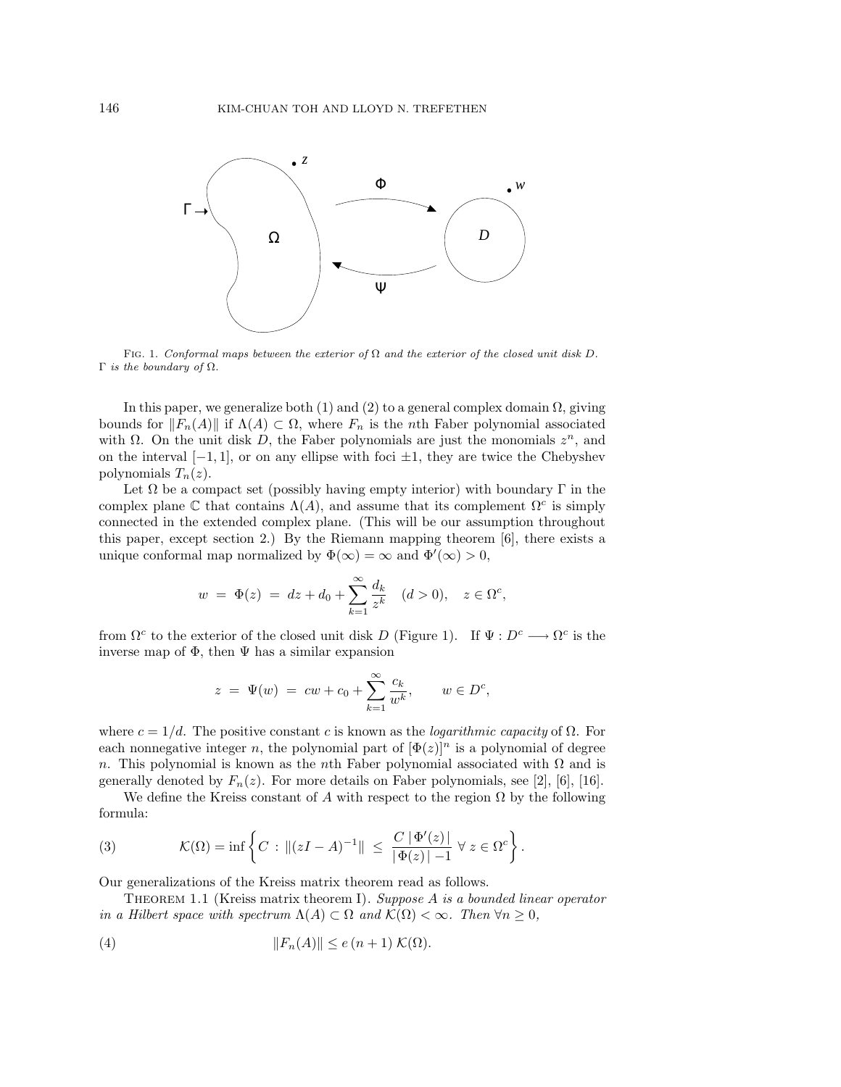

FIG. 1. Conformal maps between the exterior of  $\Omega$  and the exterior of the closed unit disk D. Γ is the boundary of  $Ω$ .

In this paper, we generalize both  $(1)$  and  $(2)$  to a general complex domain  $\Omega$ , giving bounds for  $||F_n(A)||$  if  $\Lambda(A) \subset \Omega$ , where  $F_n$  is the nth Faber polynomial associated with  $\Omega$ . On the unit disk D, the Faber polynomials are just the monomials  $z^n$ , and on the interval  $[-1, 1]$ , or on any ellipse with foci  $\pm 1$ , they are twice the Chebyshev polynomials  $T_n(z)$ .

Let  $\Omega$  be a compact set (possibly having empty interior) with boundary  $\Gamma$  in the complex plane C that contains  $\Lambda(A)$ , and assume that its complement  $\Omega^c$  is simply connected in the extended complex plane. (This will be our assumption throughout this paper, except section 2.) By the Riemann mapping theorem  $|6|$ , there exists a unique conformal map normalized by  $\Phi(\infty) = \infty$  and  $\Phi'(\infty) > 0$ ,

$$
w = \Phi(z) = dz + d_0 + \sum_{k=1}^{\infty} \frac{d_k}{z^k} \quad (d > 0), \quad z \in \Omega^c,
$$

from  $\Omega^c$  to the exterior of the closed unit disk D (Figure 1). If  $\Psi: D^c \longrightarrow \Omega^c$  is the inverse map of  $\Phi$ , then  $\Psi$  has a similar expansion

$$
z = \Psi(w) = cw + c_0 + \sum_{k=1}^{\infty} \frac{c_k}{w^k}, \qquad w \in D^c,
$$

where  $c = 1/d$ . The positive constant c is known as the *logarithmic capacity* of  $\Omega$ . For each nonnegative integer n, the polynomial part of  $[\Phi(z)]^n$  is a polynomial of degree n. This polynomial is known as the nth Faber polynomial associated with  $\Omega$  and is generally denoted by  $F_n(z)$ . For more details on Faber polynomials, see [2], [6], [16].

We define the Kreiss constant of A with respect to the region  $\Omega$  by the following formula:

(3) 
$$
\mathcal{K}(\Omega) = \inf \left\{ C : ||(zI - A)^{-1}|| \le \frac{C |\Phi'(z)|}{|\Phi(z)| - 1} \ \forall \ z \in \Omega^c \right\}.
$$

Our generalizations of the Kreiss matrix theorem read as follows.

THEOREM 1.1 (Kreiss matrix theorem I). Suppose  $A$  is a bounded linear operator in a Hilbert space with spectrum  $\Lambda(A) \subset \Omega$  and  $\mathcal{K}(\Omega) < \infty$ . Then  $\forall n \geq 0$ ,

(4) 
$$
||F_n(A)|| \le e(n+1) \mathcal{K}(\Omega).
$$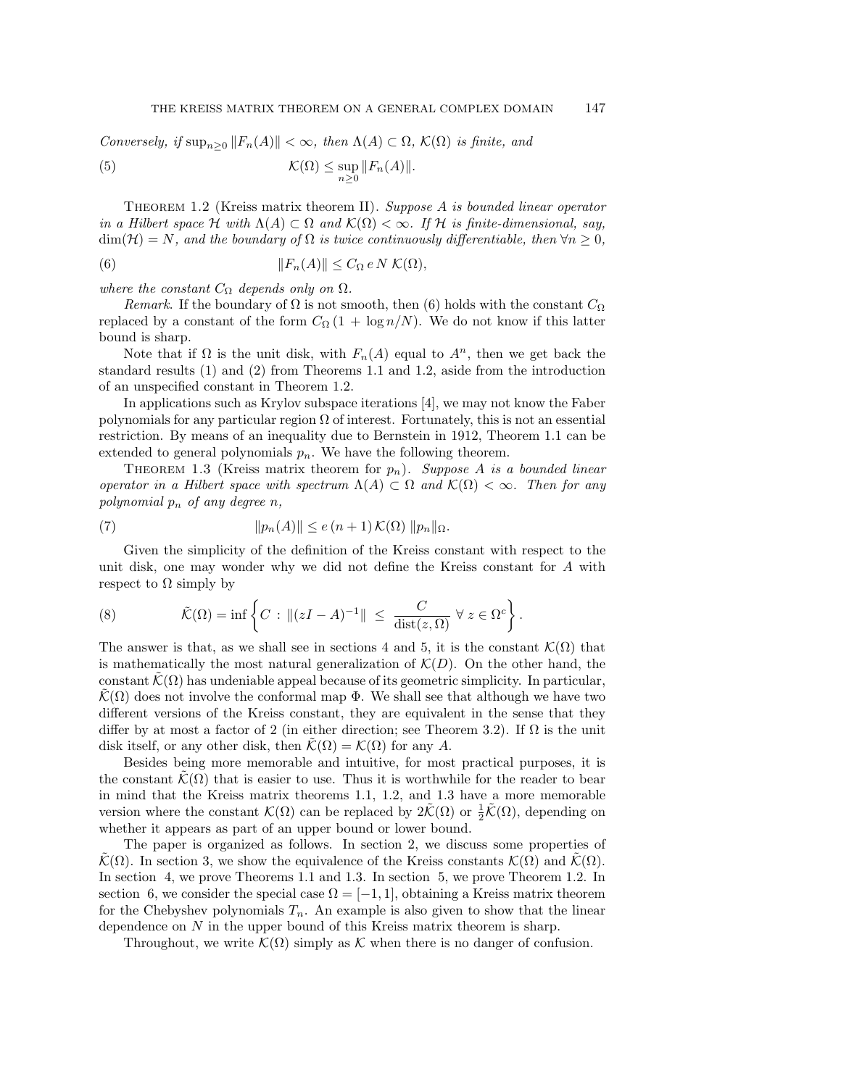Conversely, if  $\sup_{n>0} ||F_n(A)|| < \infty$ , then  $\Lambda(A) \subset \Omega$ ,  $\mathcal{K}(\Omega)$  is finite, and  $\mathcal{K}(\Omega) \leq \sup$  $n\geq 0$ (5)  $\mathcal{K}(\Omega) \leq \sup \|F_n(A)\|.$ 

THEOREM 1.2 (Kreiss matrix theorem II). Suppose  $A$  is bounded linear operator in a Hilbert space H with  $\Lambda(A) \subset \Omega$  and  $\mathcal{K}(\Omega) < \infty$ . If H is finite-dimensional, say,  $\dim(\mathcal{H}) = N$ , and the boundary of  $\Omega$  is twice continuously differentiable, then  $\forall n \geq 0$ ,

(6) 
$$
||F_n(A)|| \leq C_{\Omega} e N \mathcal{K}(\Omega),
$$

where the constant  $C_{\Omega}$  depends only on  $\Omega$ .

Remark. If the boundary of  $\Omega$  is not smooth, then (6) holds with the constant  $C_{\Omega}$ replaced by a constant of the form  $C_{\Omega}(1 + \log n/N)$ . We do not know if this latter bound is sharp.

Note that if  $\Omega$  is the unit disk, with  $F_n(A)$  equal to  $A^n$ , then we get back the standard results (1) and (2) from Theorems 1.1 and 1.2, aside from the introduction of an unspecified constant in Theorem 1.2.

In applications such as Krylov subspace iterations [4], we may not know the Faber polynomials for any particular region  $\Omega$  of interest. Fortunately, this is not an essential restriction. By means of an inequality due to Bernstein in 1912, Theorem 1.1 can be extended to general polynomials  $p_n$ . We have the following theorem.

THEOREM 1.3 (Kreiss matrix theorem for  $p_n$ ). Suppose A is a bounded linear operator in a Hilbert space with spectrum  $\Lambda(A) \subset \Omega$  and  $\mathcal{K}(\Omega) < \infty$ . Then for any polynomial  $p_n$  of any degree n,

(7) 
$$
||p_n(A)|| \le e(n+1) \mathcal{K}(\Omega) ||p_n||_{\Omega}.
$$

Given the simplicity of the definition of the Kreiss constant with respect to the unit disk, one may wonder why we did not define the Kreiss constant for A with respect to  $\Omega$  simply by

(8) 
$$
\tilde{\mathcal{K}}(\Omega) = \inf \left\{ C : ||(zI - A)^{-1}|| \leq \frac{C}{\text{dist}(z, \Omega)} \ \forall \ z \in \Omega^c \right\}.
$$

The answer is that, as we shall see in sections 4 and 5, it is the constant  $\mathcal{K}(\Omega)$  that is mathematically the most natural generalization of  $\mathcal{K}(D)$ . On the other hand, the constant  $\mathcal{K}(\Omega)$  has undeniable appeal because of its geometric simplicity. In particular,  $\mathcal{K}(\Omega)$  does not involve the conformal map  $\Phi$ . We shall see that although we have two different versions of the Kreiss constant, they are equivalent in the sense that they differ by at most a factor of 2 (in either direction; see Theorem 3.2). If  $\Omega$  is the unit disk itself, or any other disk, then  $\mathcal{K}(\Omega) = \mathcal{K}(\Omega)$  for any A.

Besides being more memorable and intuitive, for most practical purposes, it is the constant  $\mathcal{K}(\Omega)$  that is easier to use. Thus it is worthwhile for the reader to bear in mind that the Kreiss matrix theorems 1.1, 1.2, and 1.3 have a more memorable version where the constant  $\mathcal{K}(\Omega)$  can be replaced by  $2\tilde{\mathcal{K}}(\Omega)$  or  $\frac{1}{2}\tilde{\mathcal{K}}(\Omega)$ , depending on whether it appears as part of an upper bound or lower bound.

The paper is organized as follows. In section 2, we discuss some properties of  $\mathcal{K}(\Omega)$ . In section 3, we show the equivalence of the Kreiss constants  $\mathcal{K}(\Omega)$  and  $\mathcal{K}(\Omega)$ . In section 4, we prove Theorems 1.1 and 1.3. In section 5, we prove Theorem 1.2. In section 6, we consider the special case  $\Omega = [-1, 1]$ , obtaining a Kreiss matrix theorem for the Chebyshev polynomials  $T_n$ . An example is also given to show that the linear dependence on  $N$  in the upper bound of this Kreiss matrix theorem is sharp.

Throughout, we write  $\mathcal{K}(\Omega)$  simply as  $\mathcal K$  when there is no danger of confusion.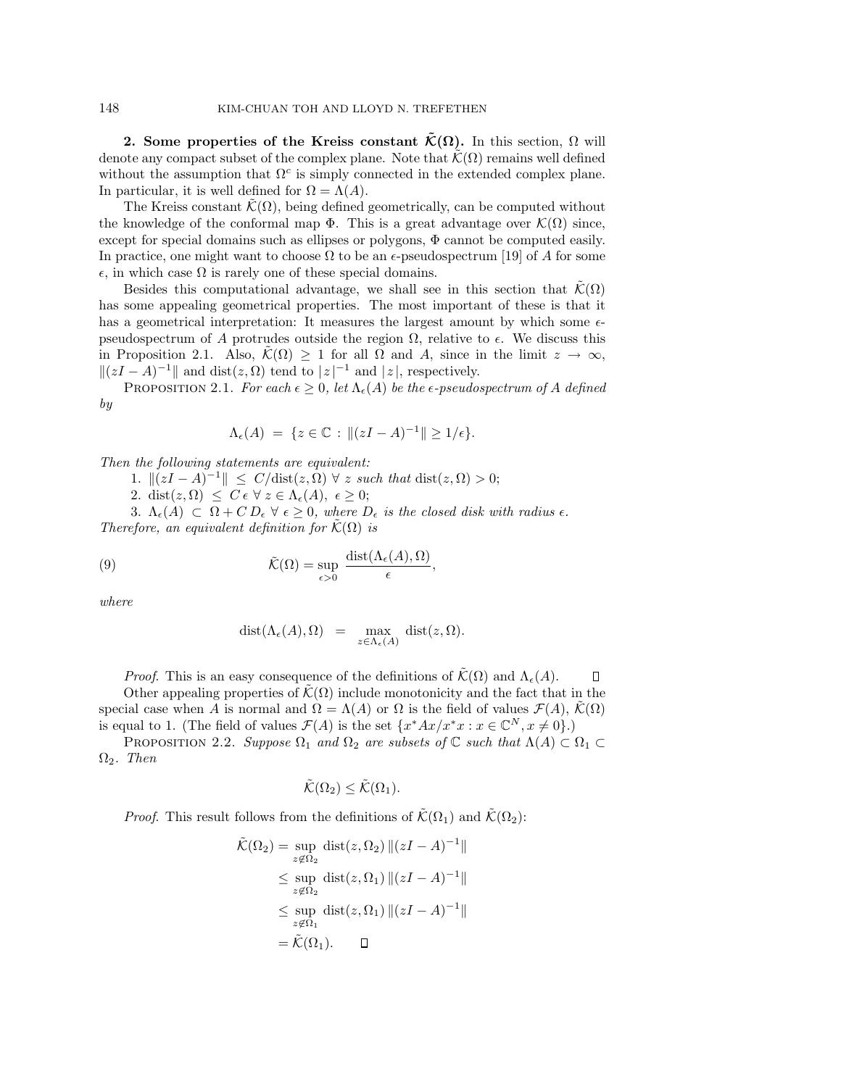**2.** Some properties of the Kreiss constant  $\tilde{\mathcal{K}}(\Omega)$ . In this section,  $\Omega$  will denote any compact subset of the complex plane. Note that  $\mathcal{K}(\Omega)$  remains well defined without the assumption that  $\Omega^c$  is simply connected in the extended complex plane. In particular, it is well defined for  $\Omega = \Lambda(A)$ .

The Kreiss constant  $\mathcal{K}(\Omega)$ , being defined geometrically, can be computed without the knowledge of the conformal map  $\Phi$ . This is a great advantage over  $\mathcal{K}(\Omega)$  since, except for special domains such as ellipses or polygons, Φ cannot be computed easily. In practice, one might want to choose  $\Omega$  to be an  $\epsilon$ -pseudospectrum [19] of A for some  $\epsilon$ , in which case  $\Omega$  is rarely one of these special domains.

Besides this computational advantage, we shall see in this section that  $\mathcal{K}(\Omega)$ has some appealing geometrical properties. The most important of these is that it has a geometrical interpretation: It measures the largest amount by which some  $\epsilon$ pseudospectrum of A protrudes outside the region  $\Omega$ , relative to  $\epsilon$ . We discuss this in Proposition 2.1. Also,  $\tilde{\mathcal{K}}(\Omega) \geq 1$  for all  $\Omega$  and A, since in the limit  $z \to \infty$ ,  $||(zI - A)^{-1}||$  and dist $(z, \Omega)$  tend to  $|z|^{-1}$  and  $|z|$ , respectively.

PROPOSITION 2.1. For each  $\epsilon > 0$ , let  $\Lambda_{\epsilon}(A)$  be the  $\epsilon$ -pseudospectrum of A defined by

$$
\Lambda_{\epsilon}(A) = \{ z \in \mathbb{C} : ||(zI - A)^{-1}|| \ge 1/\epsilon \}.
$$

Then the following statements are equivalent:

1.  $||(zI - A)^{-1}|| \leq C/dist(z, \Omega) \ \forall \ z \ such \ that \ dist(z, \Omega) > 0;$ 

2. dist $(z, \Omega) \leq C \epsilon \ \forall \ z \in \Lambda_{\epsilon}(A), \ \epsilon \geq 0;$ 

3.  $\Lambda_{\epsilon}(A) \subset \Omega + C D_{\epsilon} \ \forall \ \epsilon \geq 0$ , where  $D_{\epsilon}$  is the closed disk with radius  $\epsilon$ . Therefore, an equivalent definition for  $\mathcal{K}(\Omega)$  is

(9) 
$$
\tilde{\mathcal{K}}(\Omega) = \sup_{\epsilon > 0} \frac{\text{dist}(\Lambda_{\epsilon}(A), \Omega)}{\epsilon},
$$

where

$$
\mathrm{dist}(\Lambda_\epsilon(A),\Omega) \ \ = \ \ \max_{z\in\Lambda_\epsilon(A)} \ \mathrm{dist}(z,\Omega).
$$

*Proof.* This is an easy consequence of the definitions of  $\tilde{\mathcal{K}}(\Omega)$  and  $\Lambda_{\epsilon}(A)$ .

 $\Box$ 

Other appealing properties of  $\hat{K}(\Omega)$  include monotonicity and the fact that in the special case when A is normal and  $\Omega = \Lambda(A)$  or  $\Omega$  is the field of values  $\mathcal{F}(A)$ ,  $\mathcal{K}(\Omega)$ is equal to 1. (The field of values  $\mathcal{F}(A)$  is the set  $\{x^*Ax/x^*x : x \in \mathbb{C}^N, x \neq 0\}$ .)

PROPOSITION 2.2. Suppose  $\Omega_1$  and  $\Omega_2$  are subsets of  $\mathbb C$  such that  $\Lambda(A) \subset \Omega_1 \subset$  $\Omega_2$ . Then

$$
\tilde{\mathcal{K}}(\Omega_2) \leq \tilde{\mathcal{K}}(\Omega_1).
$$

*Proof.* This result follows from the definitions of  $\tilde{\mathcal{K}}(\Omega_1)$  and  $\tilde{\mathcal{K}}(\Omega_2)$ :

$$
\tilde{\mathcal{K}}(\Omega_2) = \sup_{z \notin \Omega_2} \text{dist}(z, \Omega_2) ||(zI - A)^{-1}||
$$
\n
$$
\leq \sup_{z \notin \Omega_2} \text{dist}(z, \Omega_1) ||(zI - A)^{-1}||
$$
\n
$$
\leq \sup_{z \notin \Omega_1} \text{dist}(z, \Omega_1) ||(zI - A)^{-1}||
$$
\n
$$
= \tilde{\mathcal{K}}(\Omega_1). \quad \Box
$$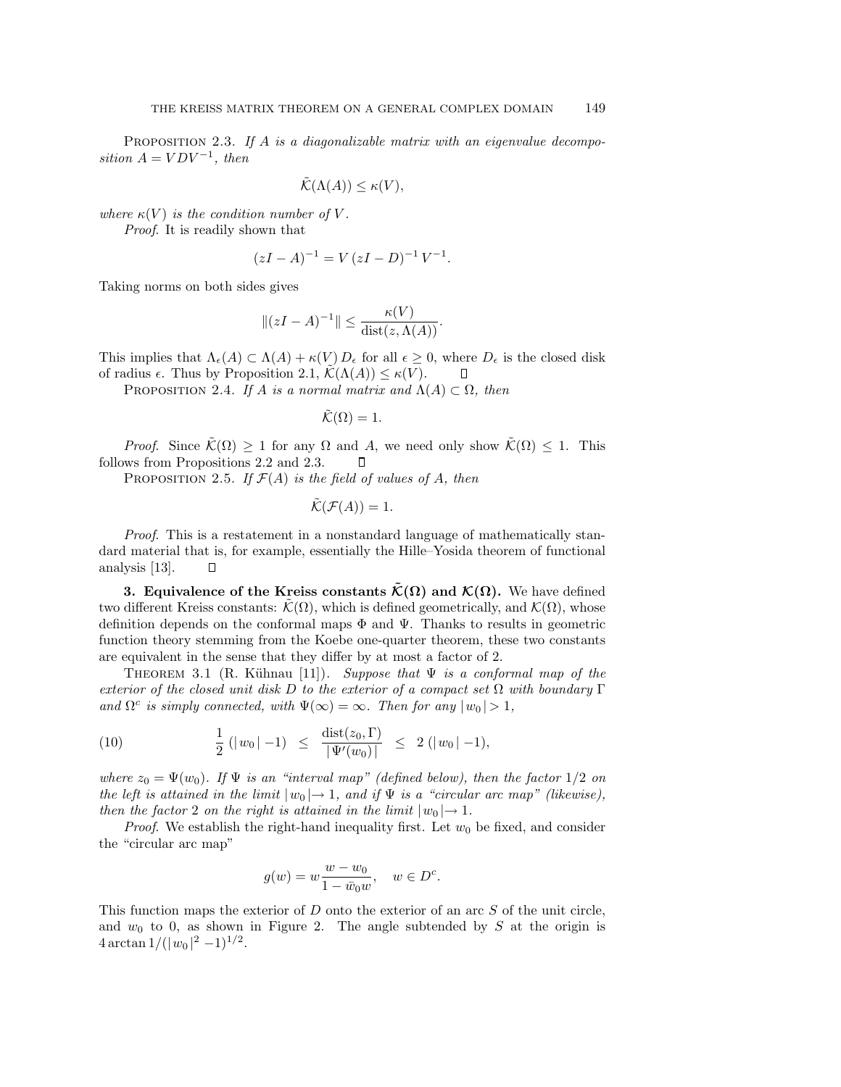PROPOSITION 2.3. If  $A$  is a diagonalizable matrix with an eigenvalue decomposition  $A = VDV^{-1}$ , then

$$
\tilde{\mathcal{K}}(\Lambda(A)) \leq \kappa(V),
$$

where  $\kappa(V)$  is the condition number of V.

Proof. It is readily shown that

$$
(zI - A)^{-1} = V (zI - D)^{-1} V^{-1}.
$$

Taking norms on both sides gives

$$
||(zI - A)^{-1}|| \le \frac{\kappa(V)}{\text{dist}(z, \Lambda(A))}.
$$

This implies that  $\Lambda_{\epsilon}(A) \subset \Lambda(A) + \kappa(V) D_{\epsilon}$  for all  $\epsilon \geq 0$ , where  $D_{\epsilon}$  is the closed disk of radius  $\epsilon$ . Thus by Proposition 2.1,  $\mathcal{K}(\Lambda(A)) \leq \kappa(V)$ .  $\Box$ 

PROPOSITION 2.4. If A is a normal matrix and  $\Lambda(A) \subset \Omega$ , then

 $\tilde{\mathcal{K}}(\Omega) = 1.$ 

*Proof.* Since  $\tilde{\mathcal{K}}(\Omega) \geq 1$  for any  $\Omega$  and A, we need only show  $\tilde{\mathcal{K}}(\Omega) \leq 1$ . This follows from Propositions 2.2 and 2.3.  $\Box$ 

PROPOSITION 2.5. If  $\mathcal{F}(A)$  is the field of values of A, then

$$
\tilde{\mathcal{K}}(\mathcal{F}(A)) = 1.
$$

Proof. This is a restatement in a nonstandard language of mathematically standard material that is, for example, essentially the Hille–Yosida theorem of functional analysis [13].  $\Box$ 

**3. Equivalence of the Kreiss constants**  $\tilde{\mathcal{K}}(\Omega)$  and  $\mathcal{K}(\Omega)$ . We have defined two different Kreiss constants:  $\mathcal{K}(\Omega)$ , which is defined geometrically, and  $\mathcal{K}(\Omega)$ , whose definition depends on the conformal maps  $\Phi$  and  $\Psi$ . Thanks to results in geometric function theory stemming from the Koebe one-quarter theorem, these two constants are equivalent in the sense that they differ by at most a factor of 2.

THEOREM 3.1 (R. Kühnau [11]). Suppose that  $\Psi$  is a conformal map of the exterior of the closed unit disk D to the exterior of a compact set  $\Omega$  with boundary  $\Gamma$ and  $\Omega^c$  is simply connected, with  $\Psi(\infty) = \infty$ . Then for any  $|w_0| > 1$ ,

(10) 
$$
\frac{1}{2} (|w_0| - 1) \le \frac{\text{dist}(z_0, \Gamma)}{|\Psi'(w_0)|} \le 2 (|w_0| - 1),
$$

where  $z_0 = \Psi(w_0)$ . If  $\Psi$  is an "interval map" (defined below), then the factor  $1/2$  on the left is attained in the limit  $|w_0| \to 1$ , and if  $\Psi$  is a "circular arc map" (likewise), then the factor 2 on the right is attained in the limit  $|w_0| \rightarrow 1$ .

*Proof.* We establish the right-hand inequality first. Let  $w_0$  be fixed, and consider the "circular arc map"

$$
g(w) = w \frac{w - w_0}{1 - \bar{w}_0 w}, \quad w \in D^c.
$$

This function maps the exterior of  $D$  onto the exterior of an arc  $S$  of the unit circle, and  $w_0$  to 0, as shown in Figure 2. The angle subtended by S at the origin is  $4 \arctan \frac{1}{(\vert w_0 \vert^2 - 1)^{1/2}}$ .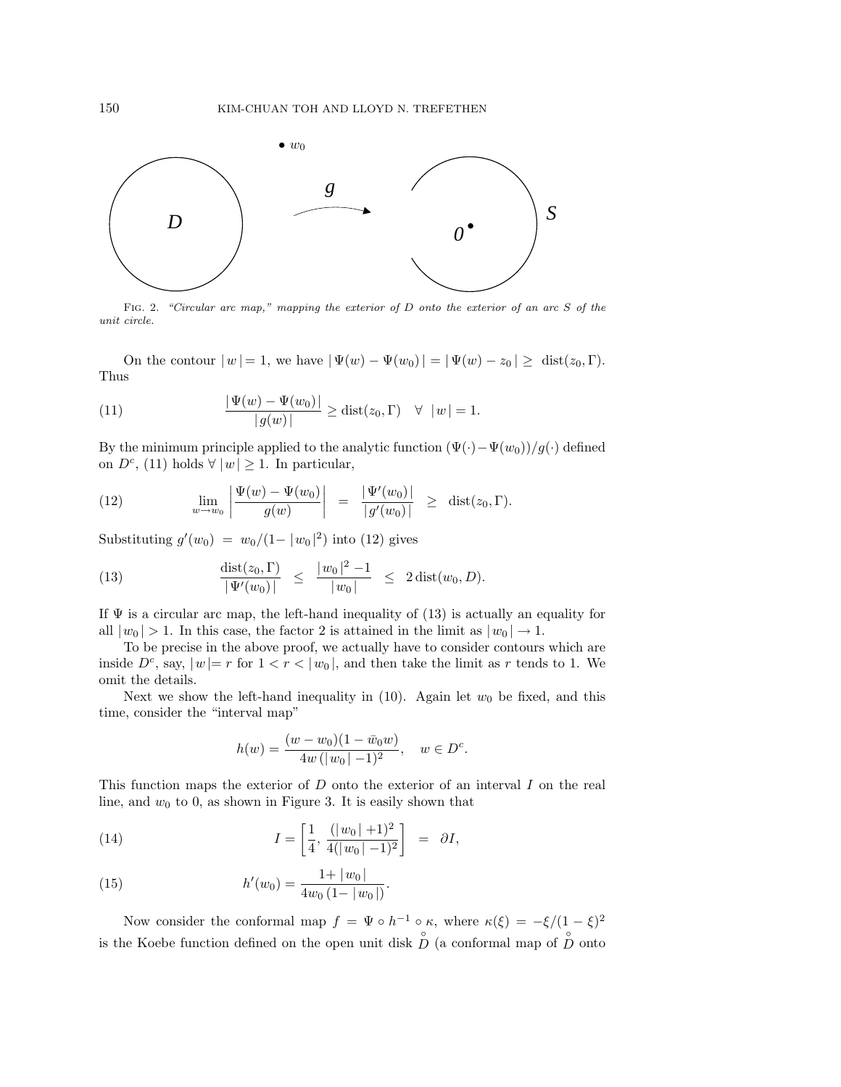

Fig. 2. "Circular arc map," mapping the exterior of D onto the exterior of an arc S of the unit circle.

On the contour  $|w| = 1$ , we have  $|\Psi(w) - \Psi(w_0)| = |\Psi(w) - z_0| \geq \text{dist}(z_0, \Gamma)$ . Thus

(11) 
$$
\frac{|\Psi(w) - \Psi(w_0)|}{|g(w)|} \geq \text{dist}(z_0, \Gamma) \quad \forall \ |w| = 1.
$$

By the minimum principle applied to the analytic function  $(\Psi(\cdot)-\Psi(w_0))/g(\cdot)$  defined on  $D^c$ , (11) holds  $\forall |w| \geq 1$ . In particular,

(12) 
$$
\lim_{w \to w_0} \left| \frac{\Psi(w) - \Psi(w_0)}{g(w)} \right| = \frac{|\Psi'(w_0)|}{|g'(w_0)|} \geq \text{dist}(z_0, \Gamma).
$$

Substituting  $g'(w_0) = w_0/(1 - |w_0|^2)$  into (12) gives

(13) 
$$
\frac{\text{dist}(z_0, \Gamma)}{|\Psi'(w_0)|} \le \frac{|w_0|^2 - 1}{|w_0|} \le 2 \text{dist}(w_0, D).
$$

If  $\Psi$  is a circular arc map, the left-hand inequality of (13) is actually an equality for all  $|w_0| > 1$ . In this case, the factor 2 is attained in the limit as  $|w_0| \to 1$ .

To be precise in the above proof, we actually have to consider contours which are inside  $D^c$ , say,  $|w| = r$  for  $1 < r < |w_0|$ , and then take the limit as r tends to 1. We omit the details.

Next we show the left-hand inequality in  $(10)$ . Again let  $w_0$  be fixed, and this time, consider the "interval map"

$$
h(w) = \frac{(w - w_0)(1 - \bar{w}_0 w)}{4w(|w_0| - 1)^2}, \quad w \in D^c.
$$

This function maps the exterior of  $D$  onto the exterior of an interval  $I$  on the real line, and  $w_0$  to 0, as shown in Figure 3. It is easily shown that

(14) 
$$
I = \left[\frac{1}{4}, \frac{(|w_0|+1)^2}{4(|w_0|-1)^2}\right] = \partial I,
$$

(15) 
$$
h'(w_0) = \frac{1 + |w_0|}{4w_0(1 - |w_0|)}.
$$

Now consider the conformal map  $f = \Psi \circ h^{-1} \circ \kappa$ , where  $\kappa(\xi) = -\xi/(1-\xi)^2$ is the Koebe function defined on the open unit disk  $\stackrel{\circ}{D}$  (a conformal map of  $\stackrel{\circ}{D}$  onto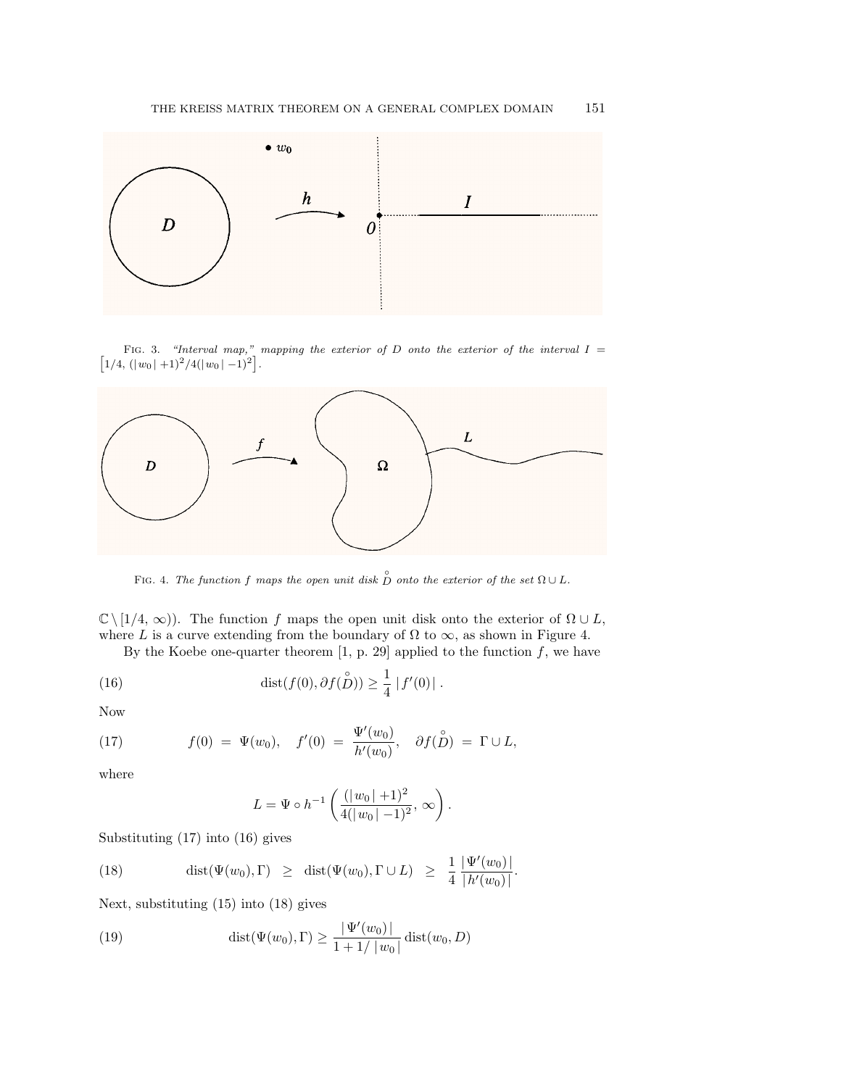

 $\left[1/4, (|w_0|+1)^2/4(|w_0|-1)^2\right].$ FIG. 3. "Interval map," mapping the exterior of D onto the exterior of the interval  $I =$ 



FIG. 4. The function f maps the open unit disk  $\stackrel{\circ}{D}$  onto the exterior of the set  $\Omega \cup L$ .

 $\mathbb{C} \setminus [1/4, \infty)$ . The function f maps the open unit disk onto the exterior of  $\Omega \cup L$ , where L is a curve extending from the boundary of  $\Omega$  to  $\infty$ , as shown in Figure 4.

By the Koebe one-quarter theorem [1, p. 29] applied to the function  $f$ , we have

(16) 
$$
\text{dist}(f(0), \partial f(\overset{\circ}{D})) \geq \frac{1}{4} |f'(0)|.
$$

Now

(17) 
$$
f(0) = \Psi(w_0), \quad f'(0) = \frac{\Psi'(w_0)}{h'(w_0)}, \quad \partial f(\mathring{D}) = \Gamma \cup L,
$$

where

$$
L = \Psi \circ h^{-1} \left( \frac{(|w_0| + 1)^2}{4(|w_0| - 1)^2}, \infty \right).
$$

Substituting (17) into (16) gives

(18) 
$$
\operatorname{dist}(\Psi(w_0), \Gamma) \geq \operatorname{dist}(\Psi(w_0), \Gamma \cup L) \geq \frac{1}{4} \frac{|\Psi'(w_0)|}{|h'(w_0)|}.
$$

Next, substituting (15) into (18) gives

(19) 
$$
\text{dist}(\Psi(w_0), \Gamma) \ge \frac{|\Psi'(w_0)|}{1 + 1/|w_0|} \text{dist}(w_0, D)
$$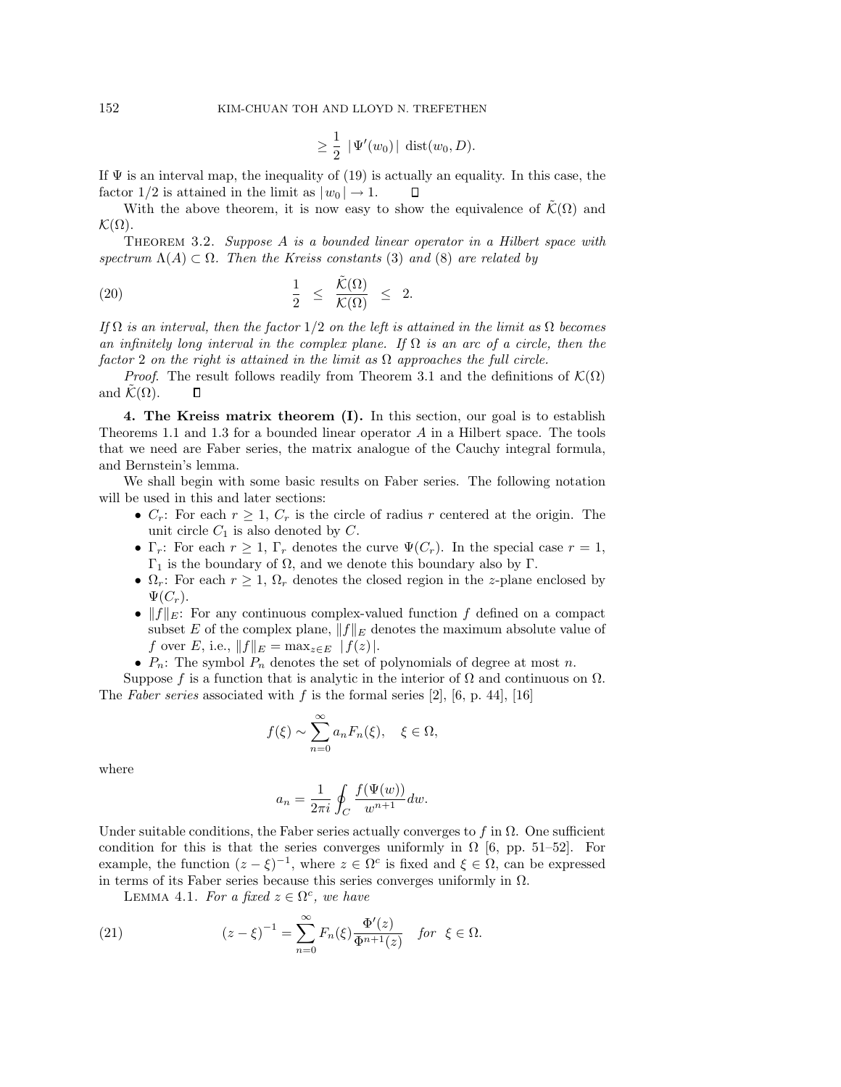$$
\geq \frac{1}{2} \, \left| \, \Psi'(w_0) \, \right| \, \mathrm{dist}(w_0, D).
$$

If  $\Psi$  is an interval map, the inequality of (19) is actually an equality. In this case, the factor  $1/2$  is attained in the limit as  $|w_0| \to 1$ .  $\Box$ 

With the above theorem, it is now easy to show the equivalence of  $\tilde{\mathcal{K}}(\Omega)$  and  $\mathcal{K}(\Omega)$ .

THEOREM 3.2. Suppose  $A$  is a bounded linear operator in a Hilbert space with spectrum  $\Lambda(A) \subset \Omega$ . Then the Kreiss constants (3) and (8) are related by

(20) 
$$
\frac{1}{2} \leq \frac{\tilde{\mathcal{K}}(\Omega)}{\mathcal{K}(\Omega)} \leq 2.
$$

If  $\Omega$  is an interval, then the factor  $1/2$  on the left is attained in the limit as  $\Omega$  becomes an infinitely long interval in the complex plane. If  $\Omega$  is an arc of a circle, then the factor 2 on the right is attained in the limit as  $\Omega$  approaches the full circle.

*Proof.* The result follows readily from Theorem 3.1 and the definitions of  $\mathcal{K}(\Omega)$ and  $\mathcal{K}(\Omega)$ . Л

**4. The Kreiss matrix theorem (I).** In this section, our goal is to establish Theorems 1.1 and 1.3 for a bounded linear operator A in a Hilbert space. The tools that we need are Faber series, the matrix analogue of the Cauchy integral formula, and Bernstein's lemma.

We shall begin with some basic results on Faber series. The following notation will be used in this and later sections:

- $C_r$ : For each  $r \geq 1$ ,  $C_r$  is the circle of radius r centered at the origin. The unit circle  $C_1$  is also denoted by  $C$ .
- $\Gamma_r$ : For each  $r \geq 1$ ,  $\Gamma_r$  denotes the curve  $\Psi(C_r)$ . In the special case  $r = 1$ ,  $Γ_1$  is the boundary of  $Ω$ , and we denote this boundary also by Γ.
- $\Omega_r$ : For each  $r \geq 1$ ,  $\Omega_r$  denotes the closed region in the z-plane enclosed by  $\Psi(C_r)$ .
- $||f||_E$ : For any continuous complex-valued function f defined on a compact subset E of the complex plane,  $||f||_E$  denotes the maximum absolute value of f over E, i.e.,  $||f||_E = \max_{z \in E} |f(z)|$ .
- $P_n$ : The symbol  $P_n$  denotes the set of polynomials of degree at most n.

Suppose f is a function that is analytic in the interior of  $\Omega$  and continuous on  $\Omega$ . The Faber series associated with f is the formal series [2], [6, p. 44], [16]

$$
f(\xi) \sim \sum_{n=0}^{\infty} a_n F_n(\xi), \quad \xi \in \Omega,
$$

where

$$
a_n = \frac{1}{2\pi i} \oint_C \frac{f(\Psi(w))}{w^{n+1}} dw.
$$

Under suitable conditions, the Faber series actually converges to f in  $\Omega$ . One sufficient condition for this is that the series converges uniformly in  $\Omega$  [6, pp. 51–52]. For example, the function  $(z - \xi)^{-1}$ , where  $z \in \Omega^c$  is fixed and  $\xi \in \Omega$ , can be expressed in terms of its Faber series because this series converges uniformly in  $\Omega$ .

LEMMA 4.1. For a fixed  $z \in \Omega^c$ , we have

(21) 
$$
(z - \xi)^{-1} = \sum_{n=0}^{\infty} F_n(\xi) \frac{\Phi'(z)}{\Phi^{n+1}(z)} \text{ for } \xi \in \Omega.
$$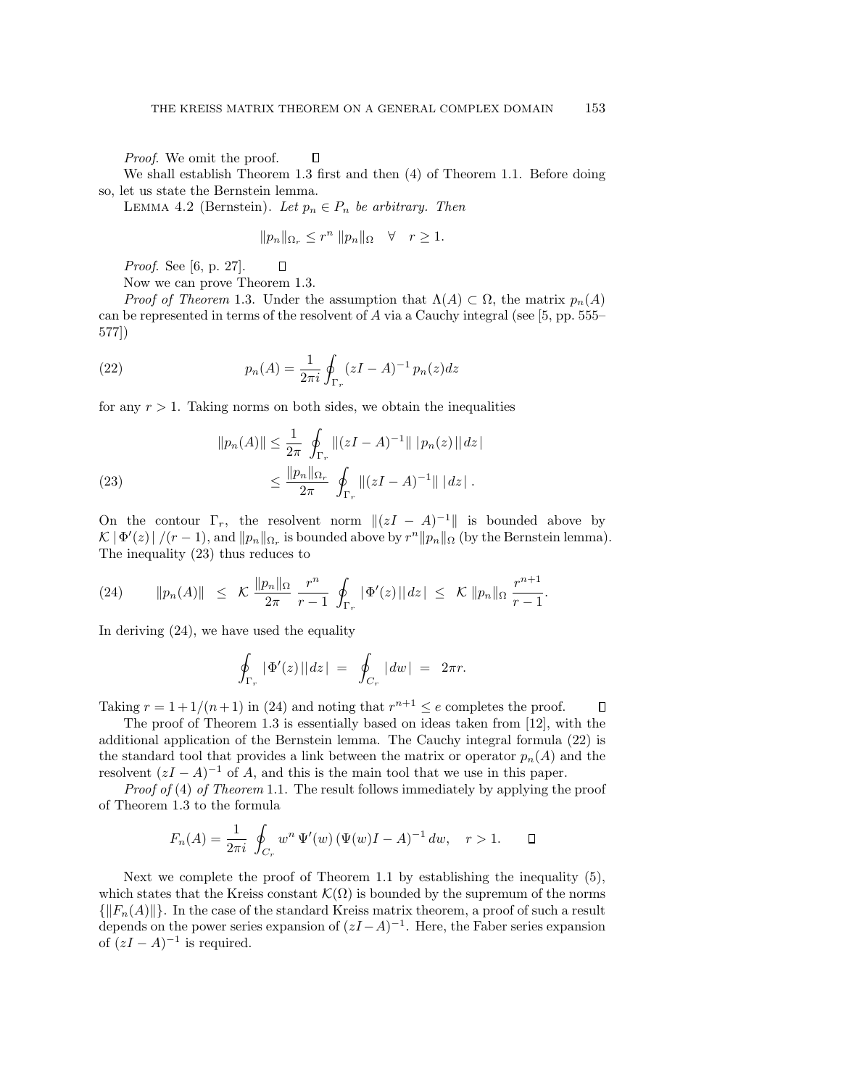Proof. We omit the proof.

We shall establish Theorem 1.3 first and then (4) of Theorem 1.1. Before doing so, let us state the Bernstein lemma.

LEMMA 4.2 (Bernstein). Let  $p_n \in P_n$  be arbitrary. Then

 $\Box$ 

$$
||p_n||_{\Omega_r} \le r^n ||p_n||_{\Omega} \quad \forall \quad r \ge 1.
$$

Proof. See [6, p. 27]. П

Now we can prove Theorem 1.3.

*Proof of Theorem* 1.3. Under the assumption that  $\Lambda(A) \subset \Omega$ , the matrix  $p_n(A)$ can be represented in terms of the resolvent of A via a Cauchy integral (see [5, pp. 555– 577])

(22) 
$$
p_n(A) = \frac{1}{2\pi i} \oint_{\Gamma_r} (zI - A)^{-1} p_n(z) dz
$$

for any  $r > 1$ . Taking norms on both sides, we obtain the inequalities

(23) 
$$
||p_n(A)|| \leq \frac{1}{2\pi} \oint_{\Gamma_r} ||(zI - A)^{-1}|| |p_n(z)|| dz|
$$

$$
\leq \frac{||p_n||_{\Omega_r}}{2\pi} \oint_{\Gamma_r} ||(zI - A)^{-1}|| |dz|.
$$

On the contour  $\Gamma_r$ , the resolvent norm  $\|(zI - A)^{-1}\|$  is bounded above by  $\mathcal{K}|\Phi'(z)|/(r-1)$ , and  $||p_n||_{\Omega_r}$  is bounded above by  $r^n||p_n||_{\Omega_r}$  (by the Bernstein lemma). The inequality (23) thus reduces to

$$
(24) \qquad \|p_n(A)\| \leq \mathcal{K} \frac{\|p_n\|_{\Omega}}{2\pi} \frac{r^n}{r-1} \oint_{\Gamma_r} |\Phi'(z)| |dz| \leq \mathcal{K} \|p_n\|_{\Omega} \frac{r^{n+1}}{r-1}.
$$

In deriving (24), we have used the equality

$$
\oint_{\Gamma_r} |\Phi'(z)| |dz| = \oint_{C_r} |dw| = 2\pi r.
$$

Taking  $r = 1 + 1/(n + 1)$  in (24) and noting that  $r^{n+1} \le e$  completes the proof.  $\Box$ 

The proof of Theorem 1.3 is essentially based on ideas taken from [12], with the additional application of the Bernstein lemma. The Cauchy integral formula (22) is the standard tool that provides a link between the matrix or operator  $p_n(A)$  and the resolvent  $(zI - A)^{-1}$  of A, and this is the main tool that we use in this paper.

Proof of (4) of Theorem 1.1. The result follows immediately by applying the proof of Theorem 1.3 to the formula

$$
F_n(A) = \frac{1}{2\pi i} \oint_{C_r} w^n \Psi'(w) (\Psi(w)I - A)^{-1} dw, \quad r > 1. \quad \Box
$$

Next we complete the proof of Theorem 1.1 by establishing the inequality (5), which states that the Kreiss constant  $\mathcal{K}(\Omega)$  is bounded by the supremum of the norms  $\{||F_n(A)||\}$ . In the case of the standard Kreiss matrix theorem, a proof of such a result depends on the power series expansion of  $(zI - A)^{-1}$ . Here, the Faber series expansion of  $(zI - A)^{-1}$  is required.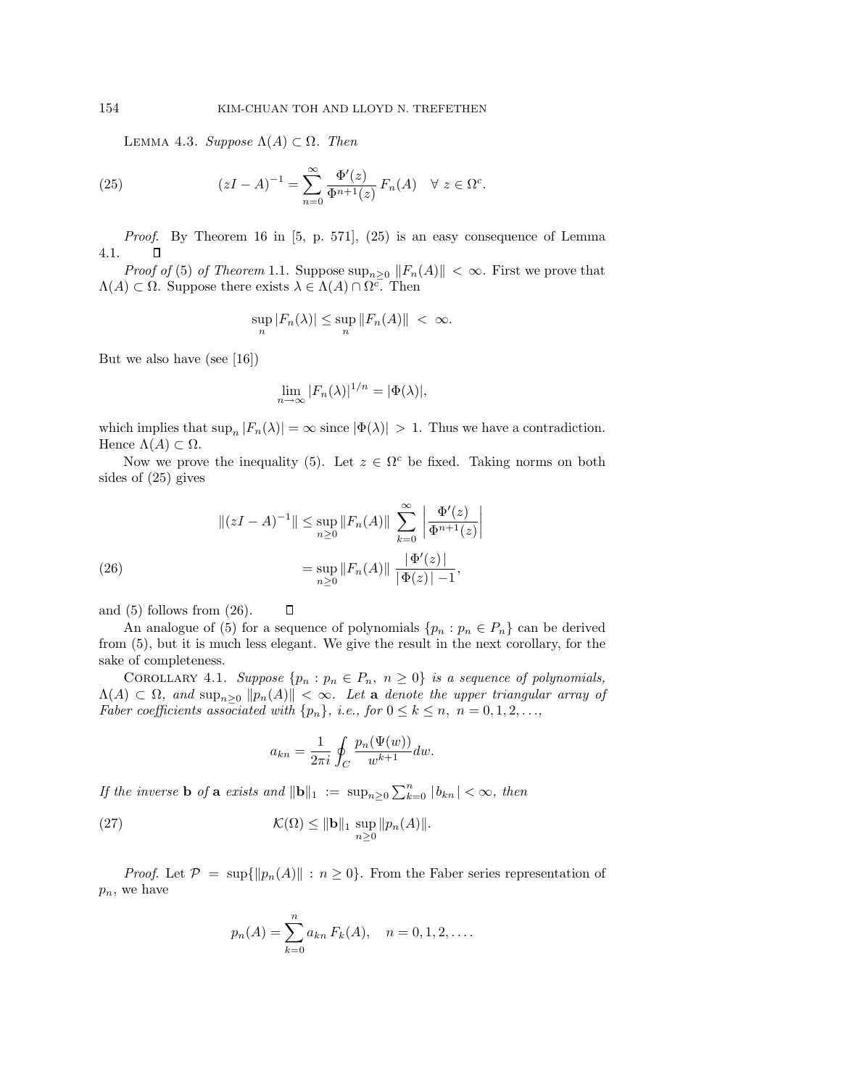LEMMA 4.3. Suppose  $\Lambda(A) \subset \Omega$ . Then

(25) 
$$
(zI - A)^{-1} = \sum_{n=0}^{\infty} \frac{\Phi'(z)}{\Phi^{n+1}(z)} F_n(A) \quad \forall \ z \in \Omega^c.
$$

Proof. By Theorem 16 in [5, p. 571], (25) is an easy consequence of Lemma 4.1. О

*Proof of* (5) of Theorem 1.1. Suppose  $\sup_{n>0} ||F_n(A)|| < \infty$ . First we prove that  $\Lambda(A) \subset \Omega$ . Suppose there exists  $\lambda \in \Lambda(A) \cap \Omega^c$ . Then

$$
\sup_n |F_n(\lambda)| \le \sup_n ||F_n(A)|| < \infty.
$$

But we also have (see [16])

$$
\lim_{n \to \infty} |F_n(\lambda)|^{1/n} = |\Phi(\lambda)|,
$$

which implies that  $\sup_n |F_n(\lambda)| = \infty$  since  $|\Phi(\lambda)| > 1$ . Thus we have a contradiction. Hence  $\Lambda(A) \subset \Omega$ .

Now we prove the inequality (5). Let  $z \in \Omega^c$  be fixed. Taking norms on both sides of (25) gives

(26)  
\n
$$
\|(zI - A)^{-1}\| \le \sup_{n\ge 0} \|F_n(A)\| \sum_{k=0}^{\infty} \left| \frac{\Phi'(z)}{\Phi^{n+1}(z)} \right|
$$
\n
$$
= \sup_{n\ge 0} \|F_n(A)\| \frac{|\Phi'(z)|}{|\Phi(z)| - 1},
$$

П

and (5) follows from (26).

An analogue of (5) for a sequence of polynomials  $\{p_n : p_n \in P_n\}$  can be derived from (5), but it is much less elegant. We give the result in the next corollary, for the sake of completeness.

COROLLARY 4.1. Suppose  $\{p_n : p_n \in P_n, n \geq 0\}$  is a sequence of polynomials,  $\Lambda(A) \subset \Omega$ , and  $\sup_{n\geq 0} ||p_n(A)|| < \infty$ . Let **a** denote the upper triangular array of Faber coefficients associated with  $\{p_n\}$ , i.e., for  $0 \le k \le n$ ,  $n = 0, 1, 2, \ldots$ ,

$$
a_{kn} = \frac{1}{2\pi i} \oint_C \frac{p_n(\Psi(w))}{w^{k+1}} dw.
$$

If the inverse **b** of **a** exists and  $\|\mathbf{b}\|_1 := \sup_{n\geq 0} \sum_{k=0}^n |b_{kn}| < \infty$ , then

(27) 
$$
\mathcal{K}(\Omega) \leq ||\mathbf{b}||_1 \sup_{n\geq 0} ||p_n(A)||.
$$

*Proof.* Let  $\mathcal{P} = \sup\{\|p_n(A)\| : n \geq 0\}$ . From the Faber series representation of  $p_n$ , we have

$$
p_n(A) = \sum_{k=0}^n a_{kn} F_k(A), \quad n = 0, 1, 2, \dots
$$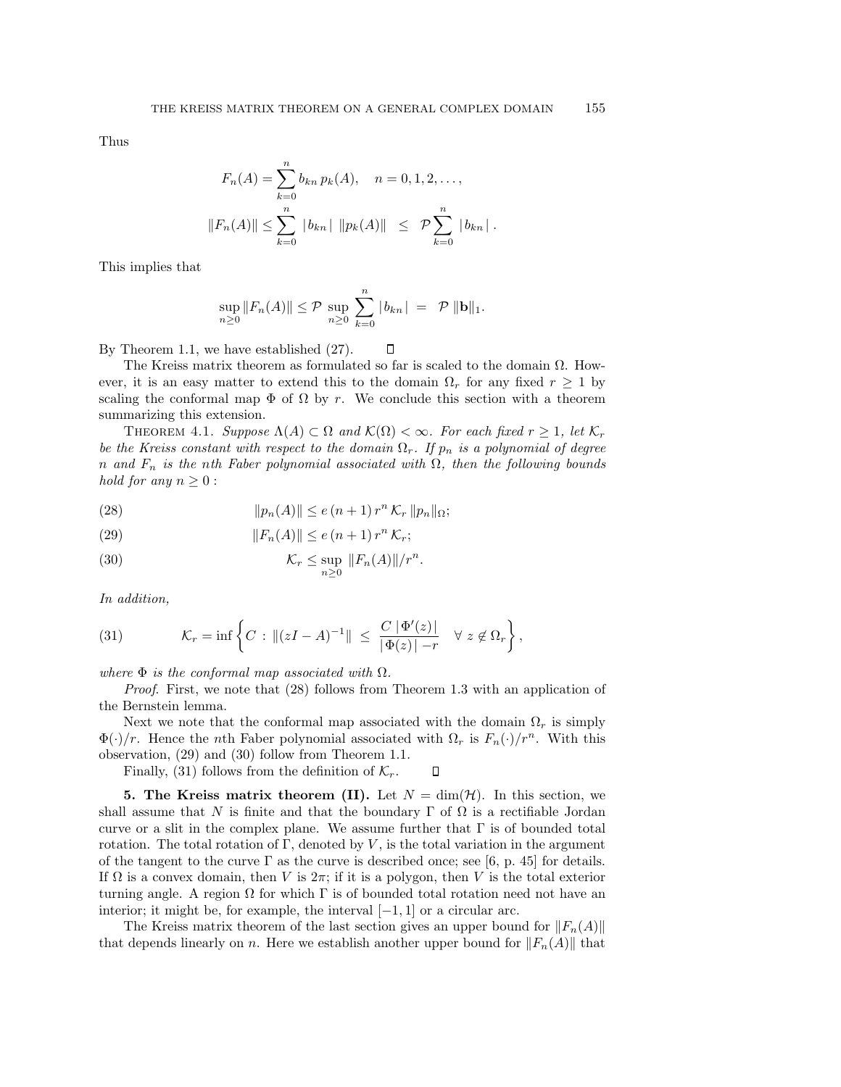Thus

$$
F_n(A) = \sum_{k=0}^n b_{kn} p_k(A), \quad n = 0, 1, 2, \dots,
$$
  

$$
||F_n(A)|| \le \sum_{k=0}^n |b_{kn}| ||p_k(A)|| \le \mathcal{P} \sum_{k=0}^n |b_{kn}|.
$$

This implies that

$$
\sup_{n\geq 0} ||F_n(A)|| \leq \mathcal{P} \sup_{n\geq 0} \sum_{k=0}^n |b_{kn}| = \mathcal{P} ||\mathbf{b}||_1.
$$

By Theorem 1.1, we have established (27).  $\Box$ 

The Kreiss matrix theorem as formulated so far is scaled to the domain  $\Omega$ . However, it is an easy matter to extend this to the domain  $\Omega_r$  for any fixed  $r \geq 1$  by scaling the conformal map  $\Phi$  of  $\Omega$  by r. We conclude this section with a theorem summarizing this extension.

THEOREM 4.1. Suppose  $\Lambda(A) \subset \Omega$  and  $\mathcal{K}(\Omega) < \infty$ . For each fixed  $r \geq 1$ , let  $\mathcal{K}_r$ be the Kreiss constant with respect to the domain  $\Omega_r$ . If  $p_n$  is a polynomial of degree n and  $F_n$  is the nth Faber polynomial associated with  $\Omega$ , then the following bounds hold for any  $n \geq 0$ :

(28) 
$$
||p_n(A)|| \le e(n+1) r^n \mathcal{K}_r ||p_n||_{\Omega};
$$

(29) 
$$
||F_n(A)|| \le e(n+1) r^n K_r;
$$

(30) 
$$
\mathcal{K}_r \leq \sup_{n \geq 0} ||F_n(A)||/r^n.
$$

In addition,

(31) 
$$
\mathcal{K}_r = \inf \left\{ C : \|(zI - A)^{-1}\| \leq \frac{C |\Phi'(z)|}{|\Phi(z)| - r} \quad \forall \ z \notin \Omega_r \right\},
$$

where  $\Phi$  is the conformal map associated with  $\Omega$ .

Proof. First, we note that (28) follows from Theorem 1.3 with an application of the Bernstein lemma.

Next we note that the conformal map associated with the domain  $\Omega_r$  is simply  $\Phi(\cdot)/r$ . Hence the *n*th Faber polynomial associated with  $\Omega_r$  is  $F_n(\cdot)/r^n$ . With this observation, (29) and (30) follow from Theorem 1.1.

Finally, (31) follows from the definition of  $\mathcal{K}_r$ . П

**5. The Kreiss matrix theorem (II).** Let  $N = \dim(\mathcal{H})$ . In this section, we shall assume that N is finite and that the boundary  $\Gamma$  of  $\Omega$  is a rectifiable Jordan curve or a slit in the complex plane. We assume further that  $\Gamma$  is of bounded total rotation. The total rotation of  $\Gamma$ , denoted by  $V$ , is the total variation in the argument of the tangent to the curve  $\Gamma$  as the curve is described once; see [6, p. 45] for details. If  $\Omega$  is a convex domain, then V is  $2\pi$ ; if it is a polygon, then V is the total exterior turning angle. A region  $\Omega$  for which  $\Gamma$  is of bounded total rotation need not have an interior; it might be, for example, the interval  $[-1, 1]$  or a circular arc.

The Kreiss matrix theorem of the last section gives an upper bound for  $||F_n(A)||$ that depends linearly on n. Here we establish another upper bound for  $||F_n(A)||$  that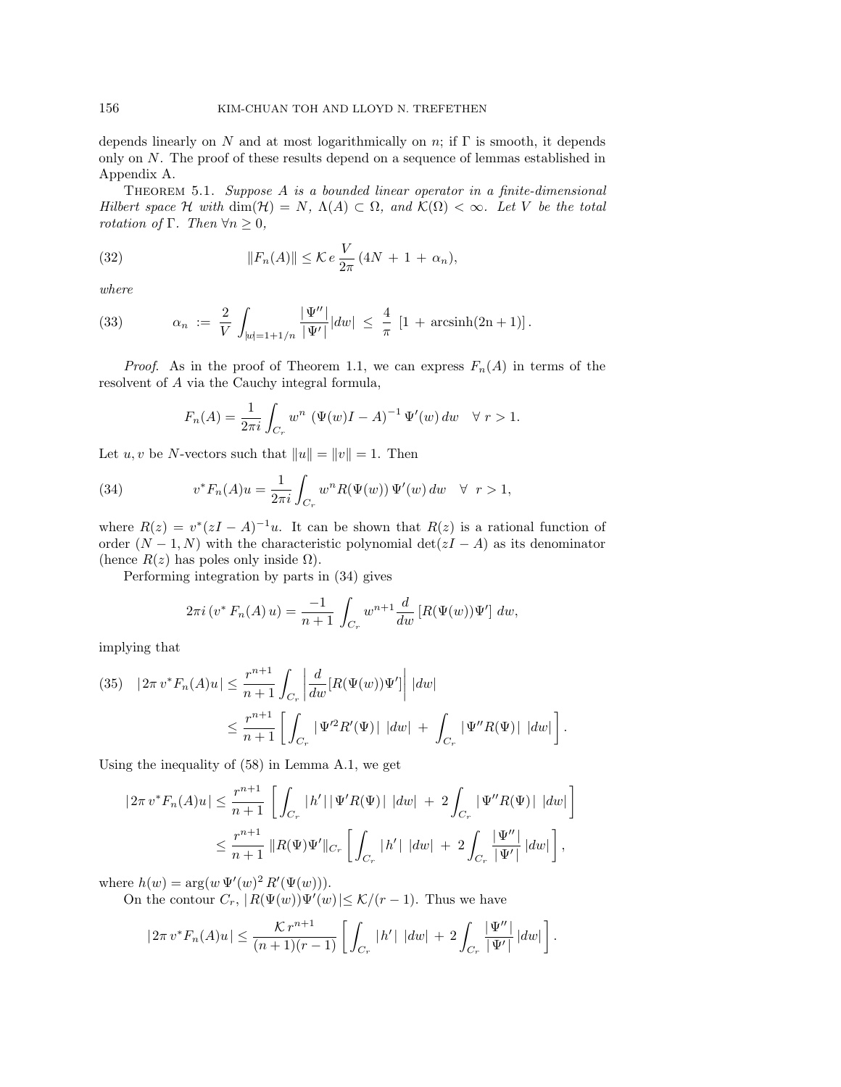depends linearly on N and at most logarithmically on n; if  $\Gamma$  is smooth, it depends only on N. The proof of these results depend on a sequence of lemmas established in Appendix A.

THEOREM 5.1. Suppose A is a bounded linear operator in a finite-dimensional Hilbert space H with dim(H) = N,  $\Lambda(A) \subset \Omega$ , and  $\mathcal{K}(\Omega) < \infty$ . Let V be the total rotation of Γ. Then  $\forall n \geq 0$ ,

(32) 
$$
||F_n(A)|| \leq \mathcal{K} e^{-\frac{V}{2\pi}} (4N + 1 + \alpha_n),
$$

where

(33) 
$$
\alpha_n := \frac{2}{V} \int_{|w|=1+1/n} \frac{|\Psi''|}{|\Psi'|} |dw| \leq \frac{4}{\pi} [1 + \operatorname{arcsinh}(2n+1)].
$$

*Proof.* As in the proof of Theorem 1.1, we can express  $F_n(A)$  in terms of the resolvent of A via the Cauchy integral formula,

$$
F_n(A) = \frac{1}{2\pi i} \int_{C_r} w^n \left( \Psi(w)I - A \right)^{-1} \Psi'(w) \, dw \quad \forall \ r > 1.
$$

Let  $u, v$  be N-vectors such that  $||u|| = ||v|| = 1$ . Then

(34) 
$$
v^* F_n(A) u = \frac{1}{2\pi i} \int_{C_r} w^n R(\Psi(w)) \Psi'(w) dw \quad \forall \ r > 1,
$$

where  $R(z) = v^*(zI - A)^{-1}u$ . It can be shown that  $R(z)$  is a rational function of order  $(N-1, N)$  with the characteristic polynomial det( $zI - A$ ) as its denominator (hence  $R(z)$  has poles only inside  $\Omega$ ).

Performing integration by parts in (34) gives

$$
2\pi i \left(v^* F_n(A) u\right) = \frac{-1}{n+1} \int_{C_r} w^{n+1} \frac{d}{dw} \left[R(\Psi(w)) \Psi'\right] dw,
$$

implying that

(35) 
$$
|2\pi v^* F_n(A)u| \le \frac{r^{n+1}}{n+1} \int_{C_r} \left| \frac{d}{dw} [R(\Psi(w))\Psi'] \right| |dw|
$$
  

$$
\le \frac{r^{n+1}}{n+1} \left[ \int_{C_r} |\Psi'^2 R'(\Psi)| |dw| + \int_{C_r} |\Psi'' R(\Psi)| |dw| \right].
$$

Using the inequality of (58) in Lemma A.1, we get

$$
|2\pi v^* F_n(A)u| \le \frac{r^{n+1}}{n+1} \left[ \int_{C_r} |h'| |\Psi'R(\Psi)| |dw| + 2 \int_{C_r} |\Psi''R(\Psi)| |dw| \right]
$$
  

$$
\le \frac{r^{n+1}}{n+1} ||R(\Psi)\Psi'||_{C_r} \left[ \int_{C_r} |h'| |dw| + 2 \int_{C_r} \frac{|\Psi''|}{|\Psi'|} |dw| \right],
$$

where  $h(w) = \arg(w \Psi'(w)^2 R'(\Psi(w))).$ 

On the contour  $C_r$ ,  $|R(\Psi(w))\Psi'(w)| \leq \mathcal{K}/(r-1)$ . Thus we have

$$
|2\pi v^* F_n(A)u| \leq \frac{\mathcal{K}r^{n+1}}{(n+1)(r-1)} \left[ \int_{C_r} |h'| \, |dw| + 2 \int_{C_r} \frac{|\Psi''|}{|\Psi'|} |dw| \right].
$$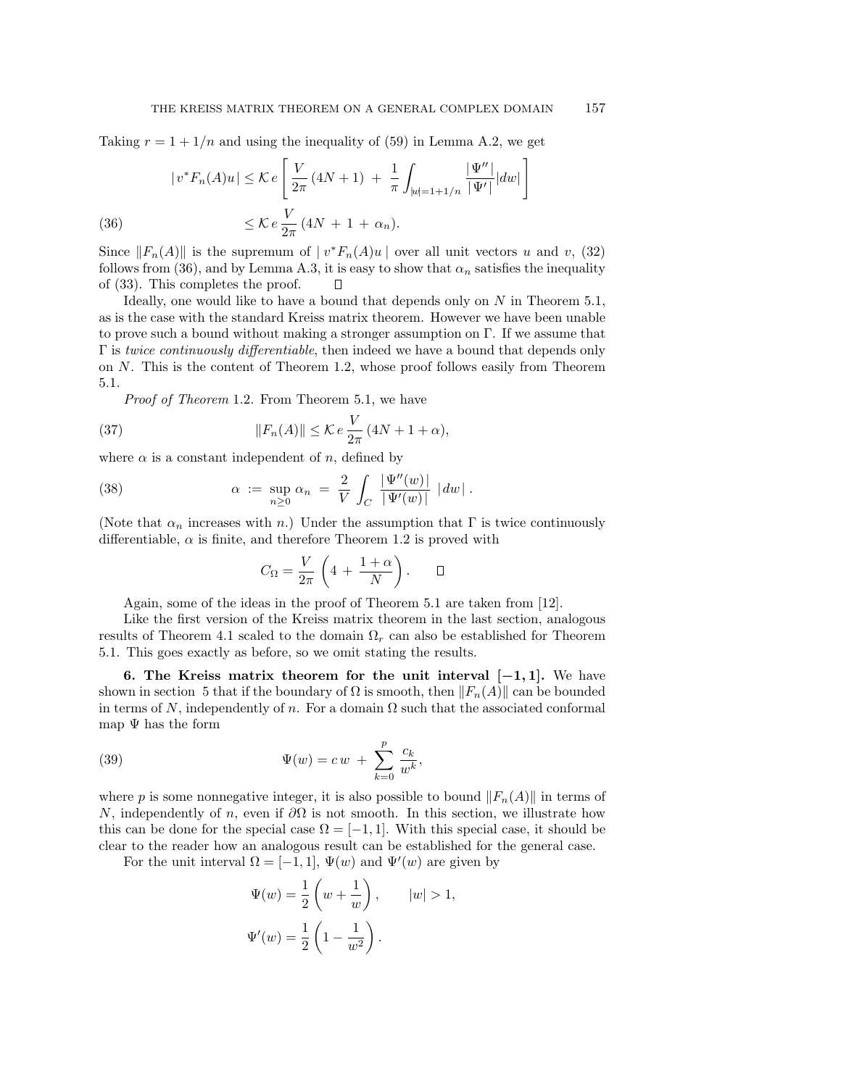Taking  $r = 1 + 1/n$  and using the inequality of (59) in Lemma A.2, we get

(36) 
$$
|v^*F_n(A)u| \leq \mathcal{K}e\left[\frac{V}{2\pi}(4N+1) + \frac{1}{\pi}\int_{|w|=1+1/n}\frac{|\Psi''|}{|\Psi'|}|dw|\right]
$$

$$
\leq \mathcal{K}e\frac{V}{2\pi}(4N+1+\alpha_n).
$$

Since  $||F_n(A)||$  is the supremum of  $|v^*F_n(A)u|$  over all unit vectors u and v, (32) follows from (36), and by Lemma A.3, it is easy to show that  $\alpha_n$  satisfies the inequality of (33). This completes the proof.  $\Box$ 

Ideally, one would like to have a bound that depends only on  $N$  in Theorem 5.1, as is the case with the standard Kreiss matrix theorem. However we have been unable to prove such a bound without making a stronger assumption on Γ. If we assume that  $\Gamma$  is twice continuously differentiable, then indeed we have a bound that depends only on N. This is the content of Theorem 1.2, whose proof follows easily from Theorem 5.1.

Proof of Theorem 1.2. From Theorem 5.1, we have

(37) 
$$
||F_n(A)|| \leq \mathcal{K}e \frac{V}{2\pi} (4N + 1 + \alpha),
$$

where  $\alpha$  is a constant independent of n, defined by

(38) 
$$
\alpha := \sup_{n \geq 0} \alpha_n = \frac{2}{V} \int_C \frac{|\Psi''(w)|}{|\Psi'(w)|} |dw|.
$$

(Note that  $\alpha_n$  increases with n.) Under the assumption that  $\Gamma$  is twice continuously differentiable,  $\alpha$  is finite, and therefore Theorem 1.2 is proved with

$$
C_\Omega = \frac{V}{2\pi}\,\left(4\,+\,\frac{1+\alpha}{N}\right).\qquad\Box
$$

Again, some of the ideas in the proof of Theorem 5.1 are taken from [12].

Like the first version of the Kreiss matrix theorem in the last section, analogous results of Theorem 4.1 scaled to the domain  $\Omega_r$  can also be established for Theorem 5.1. This goes exactly as before, so we omit stating the results.

**6. The Kreiss matrix theorem for the unit interval [***−***1***,* **1].** We have shown in section 5 that if the boundary of  $\Omega$  is smooth, then  $||F_n(A)||$  can be bounded in terms of N, independently of n. For a domain  $\Omega$  such that the associated conformal map  $\Psi$  has the form

(39) 
$$
\Psi(w) = c w + \sum_{k=0}^{p} \frac{c_k}{w^k},
$$

where p is some nonnegative integer, it is also possible to bound  $||F_n(A)||$  in terms of N, independently of n, even if  $\partial\Omega$  is not smooth. In this section, we illustrate how this can be done for the special case  $\Omega = [-1, 1]$ . With this special case, it should be clear to the reader how an analogous result can be established for the general case.

For the unit interval  $\Omega = [-1, 1], \Psi(w)$  and  $\Psi'(w)$  are given by

$$
\Psi(w) = \frac{1}{2} \left( w + \frac{1}{w} \right), \qquad |w| > 1,
$$
  

$$
\Psi'(w) = \frac{1}{2} \left( 1 - \frac{1}{w^2} \right).
$$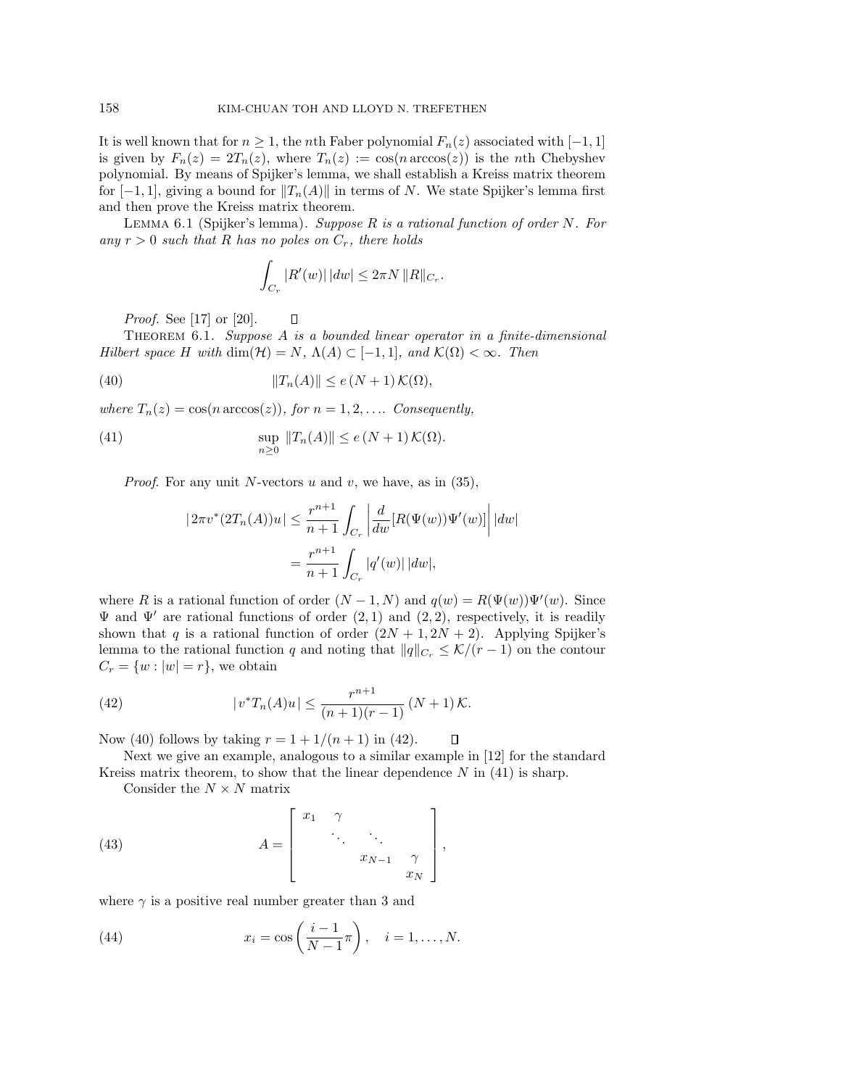It is well known that for  $n \geq 1$ , the *n*th Faber polynomial  $F_n(z)$  associated with [−1, 1] is given by  $F_n(z)=2T_n(z)$ , where  $T_n(z) := \cos(n \arccos(z))$  is the nth Chebyshev polynomial. By means of Spijker's lemma, we shall establish a Kreiss matrix theorem for  $[-1, 1]$ , giving a bound for  $||T_n(A)||$  in terms of N. We state Spijker's lemma first and then prove the Kreiss matrix theorem.

LEMMA 6.1 (Spijker's lemma). Suppose R is a rational function of order N. For any  $r > 0$  such that R has no poles on  $C_r$ , there holds

$$
\int_{C_r} |R'(w)| \, |dw| \le 2\pi N \, ||R||_{C_r}.
$$

*Proof.* See [17] or [20].

Theorem 6.1. Suppose A is a bounded linear operator in a finite-dimensional Hilbert space H with dim( $\mathcal{H}$ ) = N,  $\Lambda(A) \subset [-1,1]$ , and  $\mathcal{K}(\Omega) < \infty$ . Then

(40) 
$$
||T_n(A)|| \le e(N+1) \mathcal{K}(\Omega),
$$

where  $T_n(z) = \cos(n \arccos(z))$ , for  $n = 1, 2, \ldots$  Consequently,

 $\Box$ 

(41) 
$$
\sup_{n\geq 0} ||T_n(A)|| \leq e(N+1) \mathcal{K}(\Omega).
$$

*Proof.* For any unit N-vectors u and v, we have, as in  $(35)$ ,

$$
|2\pi v^*(2T_n(A))u| \le \frac{r^{n+1}}{n+1} \int_{C_r} \left| \frac{d}{dw} [R(\Psi(w))\Psi'(w)] \right| |dw|
$$
  
= 
$$
\frac{r^{n+1}}{n+1} \int_{C_r} |q'(w)| |dw|,
$$

where R is a rational function of order  $(N-1, N)$  and  $q(w) = R(\Psi(w))\Psi'(w)$ . Since  $\Psi$  and  $\Psi'$  are rational functions of order  $(2, 1)$  and  $(2, 2)$ , respectively, it is readily shown that q is a rational function of order  $(2N + 1, 2N + 2)$ . Applying Spijker's lemma to the rational function q and noting that  $||q||_{C_r} \leq \mathcal{K}/(r-1)$  on the contour  $C_r = \{w : |w| = r\}$ , we obtain

(42) 
$$
|v^*T_n(A)u| \leq \frac{r^{n+1}}{(n+1)(r-1)} (N+1) \mathcal{K}.
$$

Now (40) follows by taking  $r = 1 + 1/(n + 1)$  in (42).  $\Box$ 

Next we give an example, analogous to a similar example in [12] for the standard Kreiss matrix theorem, to show that the linear dependence  $N$  in (41) is sharp.

Consider the  $N \times N$  matrix

(43) 
$$
A = \begin{bmatrix} x_1 & \gamma & & \\ & \ddots & \ddots & \\ & & x_{N-1} & \gamma \\ & & & x_N \end{bmatrix},
$$

where  $\gamma$  is a positive real number greater than 3 and

(44) 
$$
x_i = \cos\left(\frac{i-1}{N-1}\pi\right), \quad i = 1, ..., N.
$$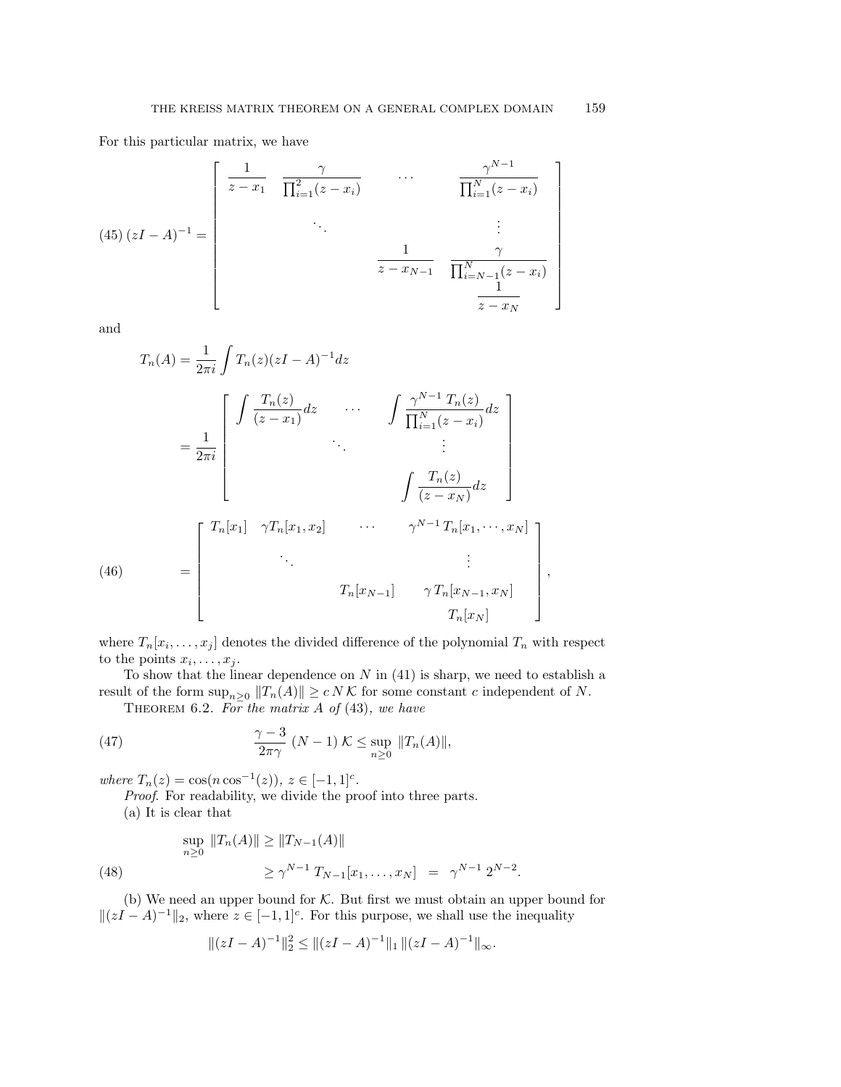For this particular matrix, we have

$$
(45) (zI - A)^{-1} = \begin{bmatrix} \frac{1}{z - x_1} & \frac{\gamma}{\prod_{i=1}^2 (z - x_i)} & \cdots & \frac{\gamma^{N-1}}{\prod_{i=1}^N (z - x_i)} \\ \vdots & \vdots & \ddots & \vdots \\ \frac{1}{z - x_{N-1}} & \frac{\gamma}{\prod_{i=N-1}^N (z - x_i)} \\ \frac{1}{z - x_N} & \frac{1}{z - x_N} \end{bmatrix}
$$

and

$$
T_n(A) = \frac{1}{2\pi i} \int T_n(z)(zI - A)^{-1} dz
$$
  
\n
$$
= \frac{1}{2\pi i} \begin{bmatrix} \int \frac{T_n(z)}{(z - x_1)} dz & \cdots & \int \frac{\gamma^{N-1} T_n(z)}{\prod_{i=1}^N (z - x_i)} dz \\ \vdots & \vdots \\ \int \frac{T_n(z)}{(z - x_N)} dz \end{bmatrix}
$$
  
\n(46)  
\n
$$
= \begin{bmatrix} T_n[x_1] & \gamma T_n[x_1, x_2] & \cdots & \gamma^{N-1} T_n[x_1, \cdots, x_N] \\ \vdots & \vdots \\ \Gamma_n[x_{N-1}] & \gamma T_n[x_{N-1}, x_N] \\ T_n[x_N] & T_n[x_N] \end{bmatrix},
$$

where  $T_n[x_i,\ldots,x_j]$  denotes the divided difference of the polynomial  $T_n$  with respect to the points  $x_i, \ldots, x_j$ .

To show that the linear dependence on  $N$  in  $(41)$  is sharp, we need to establish a result of the form  $\sup_{n\geq 0} ||T_n(A)|| \geq c N K$  for some constant c independent of N.

THEOREM 6.2. For the matrix A of  $(43)$ , we have

(47) 
$$
\frac{\gamma-3}{2\pi\gamma} (N-1) \mathcal{K} \leq \sup_{n\geq 0} ||T_n(A)||,
$$

where  $T_n(z) = \cos(n \cos^{-1}(z)), z \in [-1, 1]^c$ .

Proof. For readability, we divide the proof into three parts.

(a) It is clear that

(48) 
$$
\sup_{n\geq 0} ||T_n(A)|| \geq ||T_{N-1}(A)||
$$

$$
\geq \gamma^{N-1} T_{N-1}[x_1,\ldots,x_N] = \gamma^{N-1} 2^{N-2}.
$$

(b) We need an upper bound for K. But first we must obtain an upper bound for  $||(zI - A)^{-1}||_2$ , where  $z \in [-1, 1]^c$ . For this purpose, we shall use the inequality

$$
||(zI - A)^{-1}||_2^2 \le ||(zI - A)^{-1}||_1 ||(zI - A)^{-1}||_{\infty}.
$$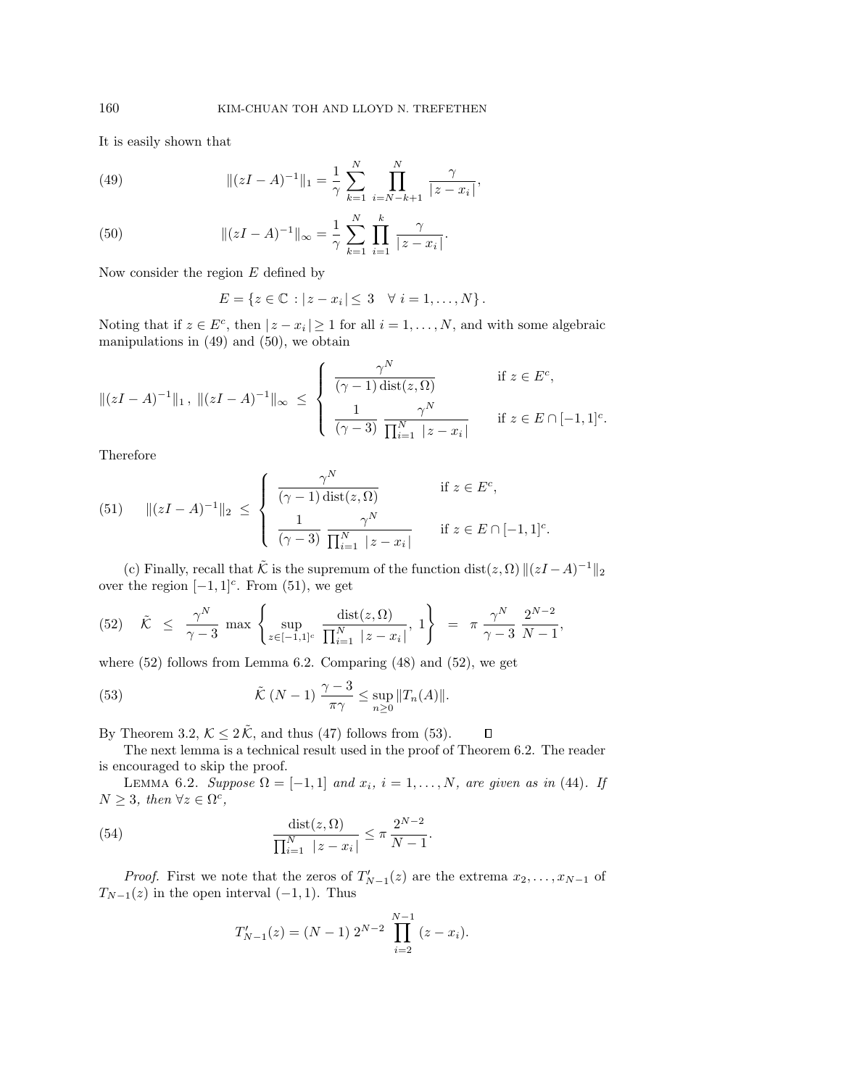It is easily shown that

(49) 
$$
\| (zI - A)^{-1} \|_1 = \frac{1}{\gamma} \sum_{k=1}^N \prod_{i=N-k+1}^N \frac{\gamma}{|z - x_i|},
$$

(50) 
$$
\| (zI - A)^{-1} \|_{\infty} = \frac{1}{\gamma} \sum_{k=1}^{N} \prod_{i=1}^{k} \frac{\gamma}{|z - x_i|}.
$$

Now consider the region  $E$  defined by

$$
E = \{ z \in \mathbb{C} : |z - x_i| \leq 3 \quad \forall i = 1, \dots, N \}.
$$

Noting that if  $z \in E^c$ , then  $|z - x_i| \ge 1$  for all  $i = 1, ..., N$ , and with some algebraic manipulations in (49) and (50), we obtain

$$
\|(zI - A)^{-1}\|_1, \|(zI - A)^{-1}\|_{\infty} \le \begin{cases} \frac{\gamma^N}{(\gamma - 1) \operatorname{dist}(z, \Omega)} & \text{if } z \in E^c, \\ \frac{1}{(\gamma - 3)} \frac{\gamma^N}{\prod_{i=1}^N |z - x_i|} & \text{if } z \in E \cap [-1, 1]^c. \end{cases}
$$

Therefore

(51) 
$$
\|(zI - A)^{-1}\|_2 \le \begin{cases} \frac{\gamma^N}{(\gamma - 1) \operatorname{dist}(z, \Omega)} & \text{if } z \in E^c, \\ \frac{1}{(\gamma - 3)} \frac{\gamma^N}{\prod_{i=1}^N |z - x_i|} & \text{if } z \in E \cap [-1, 1]^c. \end{cases}
$$

(c) Finally, recall that  $\tilde{\mathcal{K}}$  is the supremum of the function dist( $z, \Omega$ )  $||(zI - A)^{-1}||_2$ over the region  $[-1, 1]$ <sup>c</sup>. From (51), we get

$$
(52) \quad \tilde{\mathcal{K}} \leq \frac{\gamma^N}{\gamma - 3} \max \left\{ \sup_{z \in [-1,1]^c} \frac{\operatorname{dist}(z,\Omega)}{\prod_{i=1}^N |z - x_i|}, 1 \right\} \; = \; \pi \, \frac{\gamma^N}{\gamma - 3} \, \frac{2^{N-2}}{N-1},
$$

where  $(52)$  follows from Lemma 6.2. Comparing  $(48)$  and  $(52)$ , we get

(53) 
$$
\tilde{\mathcal{K}}\left(N-1\right)\frac{\gamma-3}{\pi\gamma}\leq \sup_{n\geq 0}||T_n(A)||.
$$

By Theorem 3.2,  $K \leq 2\tilde{K}$ , and thus (47) follows from (53).  $\Box$ 

The next lemma is a technical result used in the proof of Theorem 6.2. The reader is encouraged to skip the proof.

LEMMA 6.2. Suppose  $\Omega = [-1, 1]$  and  $x_i$ ,  $i = 1, ..., N$ , are given as in (44). If  $N \geq 3$ , then  $\forall z \in \Omega^c$ ,

(54) 
$$
\frac{\text{dist}(z,\Omega)}{\prod_{i=1}^{N} |z - x_i|} \leq \pi \frac{2^{N-2}}{N-1}.
$$

*Proof.* First we note that the zeros of  $T'_{N-1}(z)$  are the extrema  $x_2, \ldots, x_{N-1}$  of  $T_{N-1}(z)$  in the open interval  $(-1, 1)$ . Thus

$$
T'_{N-1}(z) = (N-1) 2^{N-2} \prod_{i=2}^{N-1} (z - x_i).
$$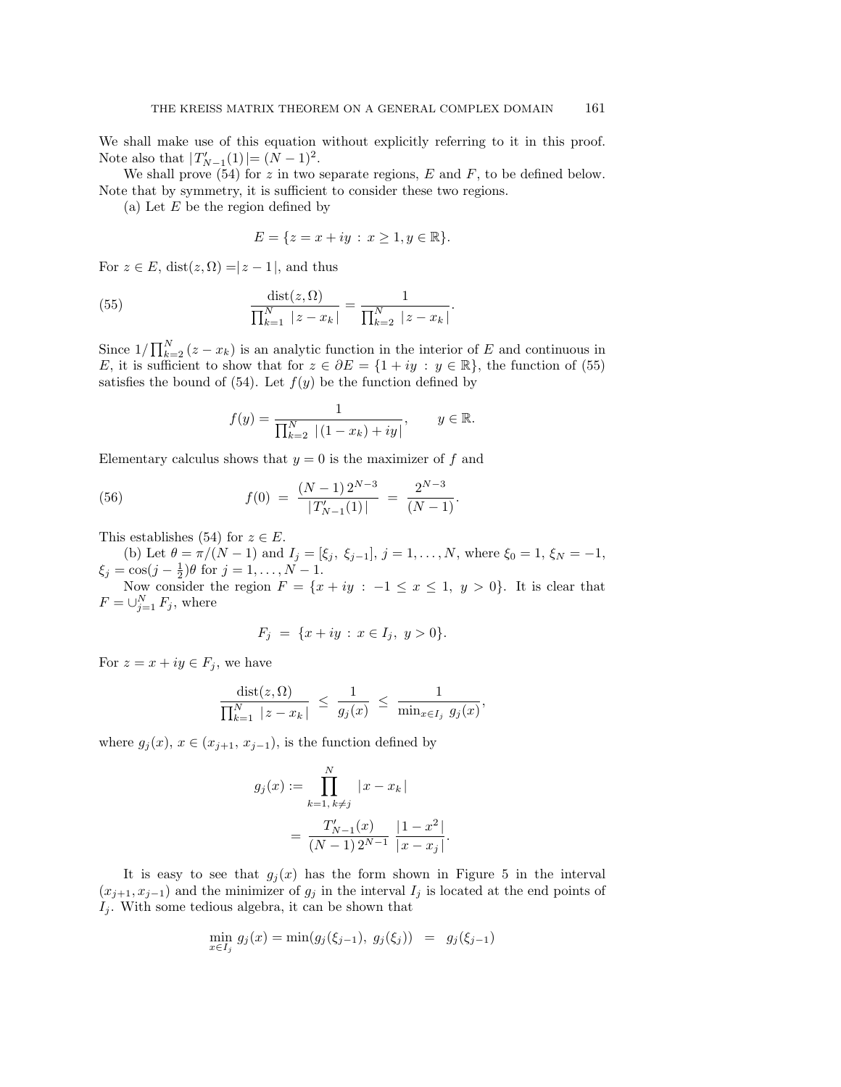We shall make use of this equation without explicitly referring to it in this proof. Note also that  $|T'_{N-1}(1)| = (N-1)^2$ .

We shall prove (54) for z in two separate regions,  $E$  and  $F$ , to be defined below. Note that by symmetry, it is sufficient to consider these two regions.

(a) Let  $E$  be the region defined by

$$
E = \{ z = x + iy : x \ge 1, y \in \mathbb{R} \}.
$$

For  $z \in E$ , dist $(z, \Omega) = |z - 1|$ , and thus

(55) 
$$
\frac{\text{dist}(z,\Omega)}{\prod_{k=1}^{N} |z - x_k|} = \frac{1}{\prod_{k=2}^{N} |z - x_k|}.
$$

Since  $1/\prod_{k=2}^{N}(z-x_k)$  is an analytic function in the interior of E and continuous in E, it is sufficient to show that for  $z \in \partial E = \{1 + iy : y \in \mathbb{R}\}$ , the function of (55) satisfies the bound of (54). Let  $f(y)$  be the function defined by

$$
f(y) = \frac{1}{\prod_{k=2}^{N} |(1 - x_k) + iy|}, \qquad y \in \mathbb{R}.
$$

Elementary calculus shows that  $y = 0$  is the maximizer of f and

(56) 
$$
f(0) = \frac{(N-1)2^{N-3}}{|T'_{N-1}(1)|} = \frac{2^{N-3}}{(N-1)}.
$$

This establishes (54) for  $z \in E$ .

(b) Let  $\theta = \pi/(N-1)$  and  $I_j = [\xi_j, \xi_{j-1}], j = 1, ..., N$ , where  $\xi_0 = 1, \xi_N = -1$ ,  $\xi_j = \cos(j - \frac{1}{2})\theta$  for  $j = 1, ..., N - 1$ .

Now consider the region  $F = \{x + iy : -1 \le x \le 1, y > 0\}$ . It is clear that  $F=\cup_{j=1}^N F_j$ , where

$$
F_j = \{x + iy : x \in I_j, y > 0\}.
$$

For  $z = x + iy \in F_j$ , we have

$$
\frac{\text{dist}(z,\Omega)}{\prod_{k=1}^N\, |z-x_k|} \ \leq \ \frac{1}{g_j(x)} \ \leq \ \frac{1}{\min_{x\in I_j} \ g_j(x)},
$$

where  $g_i(x)$ ,  $x \in (x_{i+1}, x_{i-1})$ , is the function defined by

$$
g_j(x) := \prod_{k=1, k \neq j}^{N} |x - x_k|
$$
  
= 
$$
\frac{T'_{N-1}(x)}{(N-1)2^{N-1}} \frac{|1 - x^2|}{|x - x_j|}
$$

.

It is easy to see that  $g_j(x)$  has the form shown in Figure 5 in the interval  $(x_{j+1}, x_{j-1})$  and the minimizer of  $g_j$  in the interval  $I_j$  is located at the end points of  $I_i$ . With some tedious algebra, it can be shown that

$$
\min_{x \in I_j} g_j(x) = \min(g_j(\xi_{j-1}), g_j(\xi_j)) = g_j(\xi_{j-1})
$$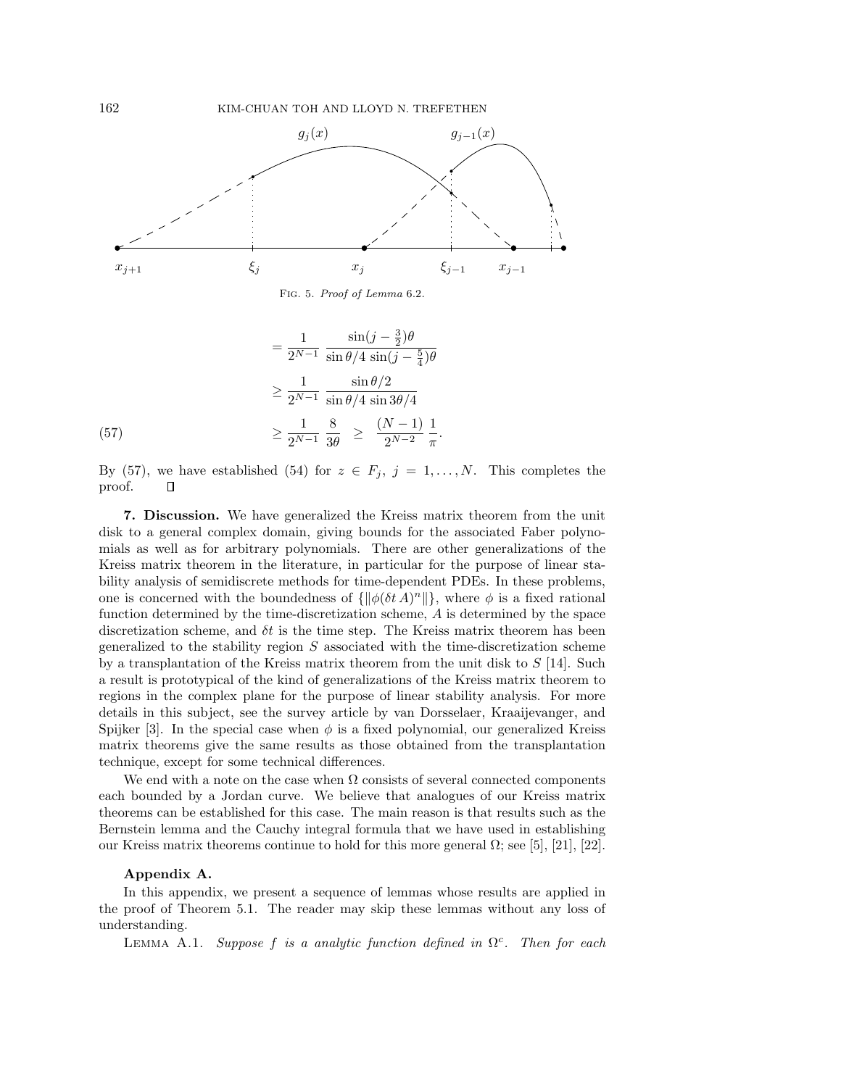

Fig. 5. Proof of Lemma 6.2.

$$
= \frac{1}{2^{N-1}} \frac{\sin(j - \frac{3}{2})\theta}{\sin \theta/4 \sin(j - \frac{5}{4})\theta}
$$

$$
\geq \frac{1}{2^{N-1}} \frac{\sin \theta/2}{\sin \theta/4 \sin 3\theta/4}
$$

$$
\geq \frac{1}{2^{N-1}} \frac{8}{3\theta} \geq \frac{(N-1)}{2^{N-2}} \frac{1}{\pi}.
$$

By (57), we have established (54) for  $z \in F_j$ ,  $j = 1, \ldots, N$ . This completes the proof. О

**7. Discussion.** We have generalized the Kreiss matrix theorem from the unit disk to a general complex domain, giving bounds for the associated Faber polynomials as well as for arbitrary polynomials. There are other generalizations of the Kreiss matrix theorem in the literature, in particular for the purpose of linear stability analysis of semidiscrete methods for time-dependent PDEs. In these problems, one is concerned with the boundedness of  $\{\|\phi(\delta t\,A)^n\|\}$ , where  $\phi$  is a fixed rational function determined by the time-discretization scheme, A is determined by the space discretization scheme, and  $\delta t$  is the time step. The Kreiss matrix theorem has been generalized to the stability region  $S$  associated with the time-discretization scheme by a transplantation of the Kreiss matrix theorem from the unit disk to  $S$  [14]. Such a result is prototypical of the kind of generalizations of the Kreiss matrix theorem to regions in the complex plane for the purpose of linear stability analysis. For more details in this subject, see the survey article by van Dorsselaer, Kraaijevanger, and Spijker [3]. In the special case when  $\phi$  is a fixed polynomial, our generalized Kreiss matrix theorems give the same results as those obtained from the transplantation technique, except for some technical differences.

We end with a note on the case when  $\Omega$  consists of several connected components each bounded by a Jordan curve. We believe that analogues of our Kreiss matrix theorems can be established for this case. The main reason is that results such as the Bernstein lemma and the Cauchy integral formula that we have used in establishing our Kreiss matrix theorems continue to hold for this more general Ω; see [5], [21], [22].

## **Appendix A.**

In this appendix, we present a sequence of lemmas whose results are applied in the proof of Theorem 5.1. The reader may skip these lemmas without any loss of understanding.

LEMMA A.1. Suppose f is a analytic function defined in  $\Omega^c$ . Then for each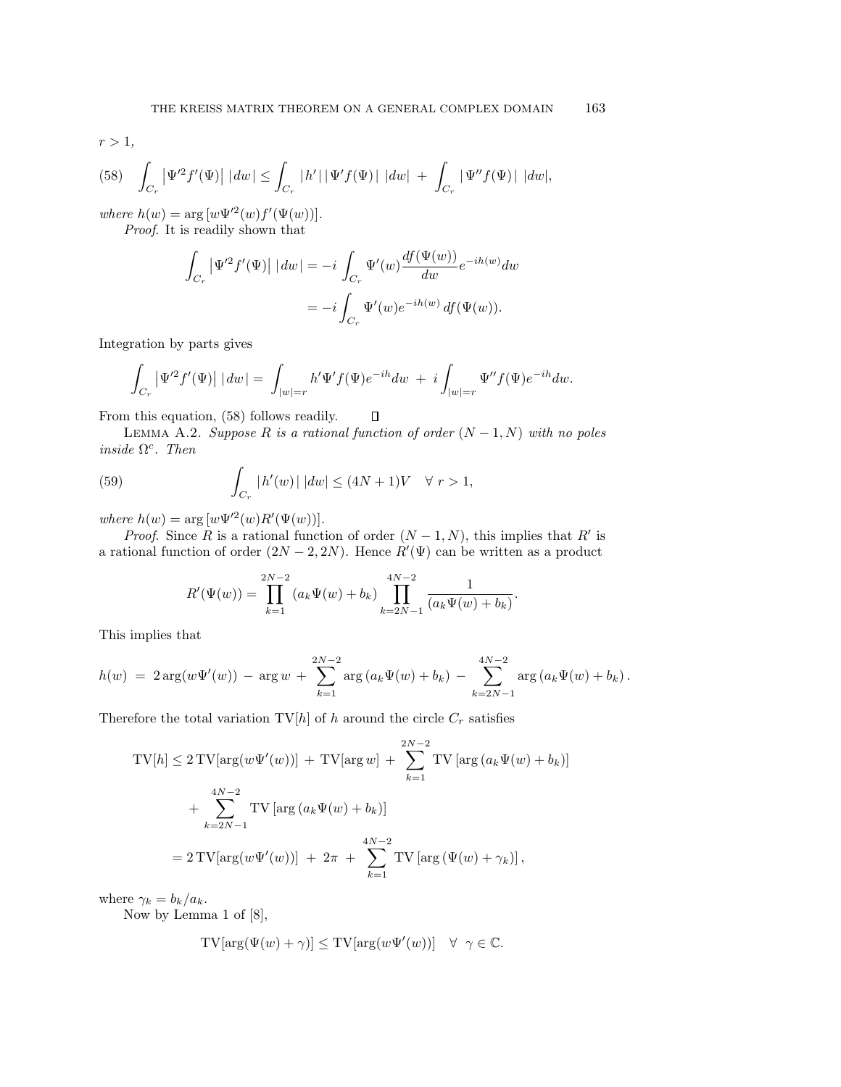(58) 
$$
\int_{C_r} |\Psi'^2 f'(\Psi)| |dw| \leq \int_{C_r} |h'| |\Psi' f(\Psi)| |dw| + \int_{C_r} |\Psi'' f(\Psi)| |dw|,
$$

where  $h(w) = \arg[w\Psi^{\prime 2}(w)f'(\Psi(w))].$ 

Proof. It is readily shown that

$$
\int_{C_r} \left| \Psi'^2 f'(\Psi) \right| \, |dw| = -i \int_{C_r} \Psi'(w) \frac{df(\Psi(w))}{dw} e^{-ih(w)} dw
$$

$$
= -i \int_{C_r} \Psi'(w) e^{-ih(w)} df(\Psi(w)).
$$

Integration by parts gives

$$
\int_{C_r} \left| \Psi'^2 f'(\Psi) \right| \, |dw| = \int_{|w|=r} h' \Psi' f(\Psi) e^{-ih} dw \; + \; i \int_{|w|=r} \Psi'' f(\Psi) e^{-ih} dw.
$$

From this equation, (58) follows readily.

LEMMA A.2. Suppose R is a rational function of order  $(N-1, N)$  with no poles inside  $\Omega^c$ . Then

 $\Box$ 

(59) 
$$
\int_{C_r} |h'(w)| |dw| \le (4N+1)V \quad \forall r > 1,
$$

where  $h(w) = \arg [w \Psi^{\prime 2}(w) R'(\Psi(w))].$ 

*Proof.* Since R is a rational function of order  $(N-1, N)$ , this implies that R' is a rational function of order  $(2N-2, 2N)$ . Hence  $R'(\Psi)$  can be written as a product

$$
R'(\Psi(w)) = \prod_{k=1}^{2N-2} (a_k \Psi(w) + b_k) \prod_{k=2N-1}^{4N-2} \frac{1}{(a_k \Psi(w) + b_k)}.
$$

This implies that

$$
h(w) = 2 \arg(w\Psi'(w)) - \arg w + \sum_{k=1}^{2N-2} \arg (a_k \Psi(w) + b_k) - \sum_{k=2N-1}^{4N-2} \arg (a_k \Psi(w) + b_k).
$$

Therefore the total variation TV[h] of h around the circle  $C_r$  satisfies

$$
TV[h] \le 2 TV[\arg(w\Psi'(w))] + TV[\arg w] + \sum_{k=1}^{2N-2} TV[\arg(a_k\Psi(w) + b_k)]
$$
  
+ 
$$
\sum_{k=2N-1}^{4N-2} TV[\arg(a_k\Psi(w) + b_k)]
$$
  
= 
$$
2 TV[\arg(w\Psi'(w))] + 2\pi + \sum_{k=1}^{4N-2} TV[\arg(\Psi(w) + \gamma_k)],
$$

where  $\gamma_k = b_k/a_k$ .

Now by Lemma 1 of [8],

$$
TV[arg(\Psi(w) + \gamma)] \leq TV[arg(w\Psi'(w))] \quad \forall \ \gamma \in \mathbb{C}.
$$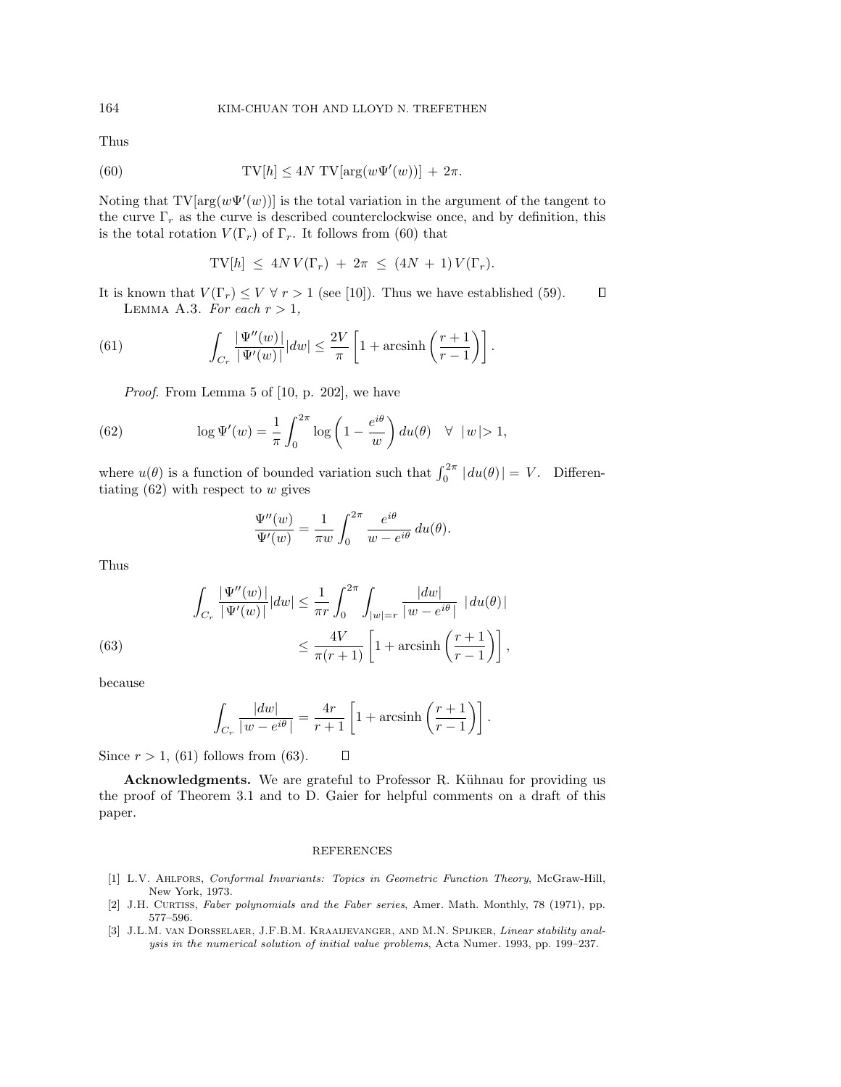Thus

(60) 
$$
TV[h] \le 4N TV[arg(w\Psi'(w))] + 2\pi.
$$

Noting that  $TV[arg(w\Psi'(w))]$  is the total variation in the argument of the tangent to the curve  $\Gamma_r$  as the curve is described counterclockwise once, and by definition, this is the total rotation  $V(\Gamma_r)$  of  $\Gamma_r$ . It follows from (60) that

$$
TV[h] \leq 4N V(\Gamma_r) + 2\pi \leq (4N + 1) V(\Gamma_r).
$$

It is known that  $V(\Gamma_r) \leq V \forall r > 1$  (see [10]). Thus we have established (59).  $\Box$ LEMMA A.3. For each  $r > 1$ ,

(61) 
$$
\int_{C_r} \frac{|\Psi''(w)|}{|\Psi'(w)|} |dw| \leq \frac{2V}{\pi} \left[1 + \operatorname{arcsinh}\left(\frac{r+1}{r-1}\right)\right].
$$

Proof. From Lemma 5 of [10, p. 202], we have

(62) 
$$
\log \Psi'(w) = \frac{1}{\pi} \int_0^{2\pi} \log \left( 1 - \frac{e^{i\theta}}{w} \right) du(\theta) \quad \forall \ |w| > 1,
$$

where  $u(\theta)$  is a function of bounded variation such that  $\int_0^{2\pi} |du(\theta)| = V$ . Differentiating  $(62)$  with respect to w gives

$$
\frac{\Psi''(w)}{\Psi'(w)} = \frac{1}{\pi w} \int_0^{2\pi} \frac{e^{i\theta}}{w - e^{i\theta}} du(\theta).
$$

Thus

(63) 
$$
\int_{C_r} \frac{|\Psi''(w)|}{|\Psi'(w)|} |dw| \le \frac{1}{\pi r} \int_0^{2\pi} \int_{|w|=r} \frac{|dw|}{|w-e^{i\theta}|} |du(\theta)|
$$

$$
\le \frac{4V}{\pi(r+1)} \left[1+\operatorname{arcsinh}\left(\frac{r+1}{r-1}\right)\right],
$$

because

$$
\int_{C_r} \frac{|dw|}{|w - e^{i\theta}|} = \frac{4r}{r+1} \left[ 1 + \operatorname{arcsinh}\left(\frac{r+1}{r-1}\right) \right].
$$

 $\Box$ 

Since  $r > 1$ , (61) follows from (63).

**Acknowledgments.** We are grateful to Professor R. Kühnau for providing us the proof of Theorem 3.1 and to D. Gaier for helpful comments on a draft of this paper.

## REFERENCES

- [1] L.V. Ahlfors, Conformal Invariants: Topics in Geometric Function Theory, McGraw-Hill, New York, 1973.
- [2] J.H. CURTISS, Faber polynomials and the Faber series, Amer. Math. Monthly, 78 (1971), pp. 577–596.
- [3] J.L.M. van Dorsselaer, J.F.B.M. Kraaijevanger, and M.N. Spijker, Linear stability analysis in the numerical solution of initial value problems, Acta Numer. 1993, pp. 199–237.